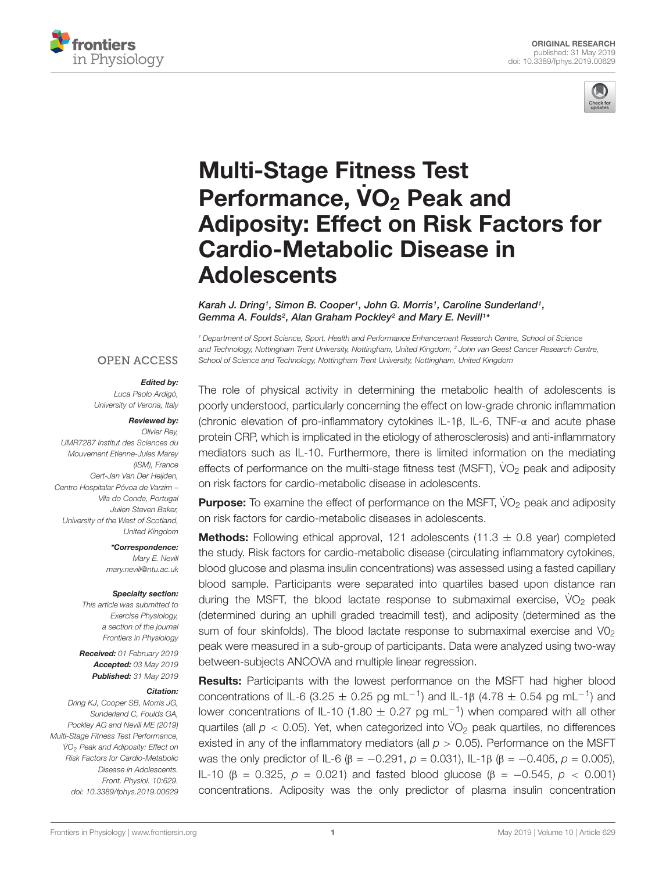



# Multi-Stage Fitness Test Performance, VO<sub>2</sub> Peak and [Adiposity: Effect on Risk Factors for](https://www.frontiersin.org/articles/10.3389/fphys.2019.00629/full) Cardio-Metabolic Disease in **Adolescents**

[Karah J. Dring](http://loop.frontiersin.org/people/680989/overview)<sup>1</sup>, [Simon B. Cooper](http://loop.frontiersin.org/people/381287/overview)<sup>1</sup>, John G. Morris<sup>1</sup>, [Caroline Sunderland](http://loop.frontiersin.org/people/267620/overview)<sup>1</sup>, [Gemma A. Foulds](http://loop.frontiersin.org/people/70818/overview)<sup>2</sup>, [Alan Graham Pockley](http://loop.frontiersin.org/people/30593/overview)<sup>2</sup> and [Mary E. Nevill](http://loop.frontiersin.org/people/681052/overview)<sup>1\*</sup>

<sup>1</sup> Department of Sport Science, Sport, Health and Performance Enhancement Research Centre, School of Science and Technology, Nottingham Trent University, Nottingham, United Kingdom, <sup>2</sup> John van Geest Cancer Research Centre, School of Science and Technology, Nottingham Trent University, Nottingham, United Kingdom

#### **OPEN ACCESS**

#### Edited by:

Luca Paolo Ardigò, University of Verona, Italy

#### Reviewed by:

Olivier Rey, UMR7287 Institut des Sciences du Mouvement Etienne-Jules Marey (ISM), France Gert-Jan Van Der Heijden, Centro Hospitalar Póvoa de Varzim – Vila do Conde, Portugal Julien Steven Baker, University of the West of Scotland, United Kingdom

> \*Correspondence: Mary E. Nevill mary.nevill@ntu.ac.uk

#### Specialty section:

This article was submitted to Exercise Physiology, a section of the journal Frontiers in Physiology

Received: 01 February 2019 Accepted: 03 May 2019 Published: 31 May 2019

#### Citation:

Dring KJ, Cooper SB, Morris JG, Sunderland C, Foulds GA, Pockley AG and Nevill ME (2019) Multi-Stage Fitness Test Performance, VO<sub>2</sub> Peak and Adiposity: Effect on Risk Factors for Cardio-Metabolic Disease in Adolescents. Front. Physiol. 10:629. doi: [10.3389/fphys.2019.00629](https://doi.org/10.3389/fphys.2019.00629) The role of physical activity in determining the metabolic health of adolescents is poorly understood, particularly concerning the effect on low-grade chronic inflammation (chronic elevation of pro-inflammatory cytokines IL-1β, IL-6, TNF-α and acute phase protein CRP, which is implicated in the etiology of atherosclerosis) and anti-inflammatory mediators such as IL-10. Furthermore, there is limited information on the mediating effects of performance on the multi-stage fitness test (MSFT),  $\dot{V}O_2$  peak and adiposity on risk factors for cardio-metabolic disease in adolescents.

Purpose: To examine the effect of performance on the MSFT, VO<sub>2</sub> peak and adiposity on risk factors for cardio-metabolic diseases in adolescents.

**Methods:** Following ethical approval, 121 adolescents (11.3  $\pm$  0.8 year) completed the study. Risk factors for cardio-metabolic disease (circulating inflammatory cytokines, blood glucose and plasma insulin concentrations) was assessed using a fasted capillary blood sample. Participants were separated into quartiles based upon distance ran during the MSFT, the blood lactate response to submaximal exercise,  $VO<sub>2</sub>$  peak (determined during an uphill graded treadmill test), and adiposity (determined as the sum of four skinfolds). The blood lactate response to submaximal exercise and  $V_2$ peak were measured in a sub-group of participants. Data were analyzed using two-way between-subjects ANCOVA and multiple linear regression.

Results: Participants with the lowest performance on the MSFT had higher blood concentrations of IL-6 (3.25  $\pm$  0.25 pg mL<sup>-1</sup>) and IL-1β (4.78  $\pm$  0.54 pg mL<sup>-1</sup>) and lower concentrations of IL-10 (1.80  $\pm$  0.27 pg mL<sup>-1</sup>) when compared with all other quartiles (all  $p < 0.05$ ). Yet, when categorized into  $\dot{V}O_2$  peak quartiles, no differences existed in any of the inflammatory mediators (all  $p > 0.05$ ). Performance on the MSFT was the only predictor of IL-6 ( $\beta$  = −0.291, p = 0.031), IL-1β ( $\beta$  = −0.405, p = 0.005), IL-10 (β = 0.325,  $p = 0.021$ ) and fasted blood glucose (β = -0.545,  $p < 0.001$ ) concentrations. Adiposity was the only predictor of plasma insulin concentration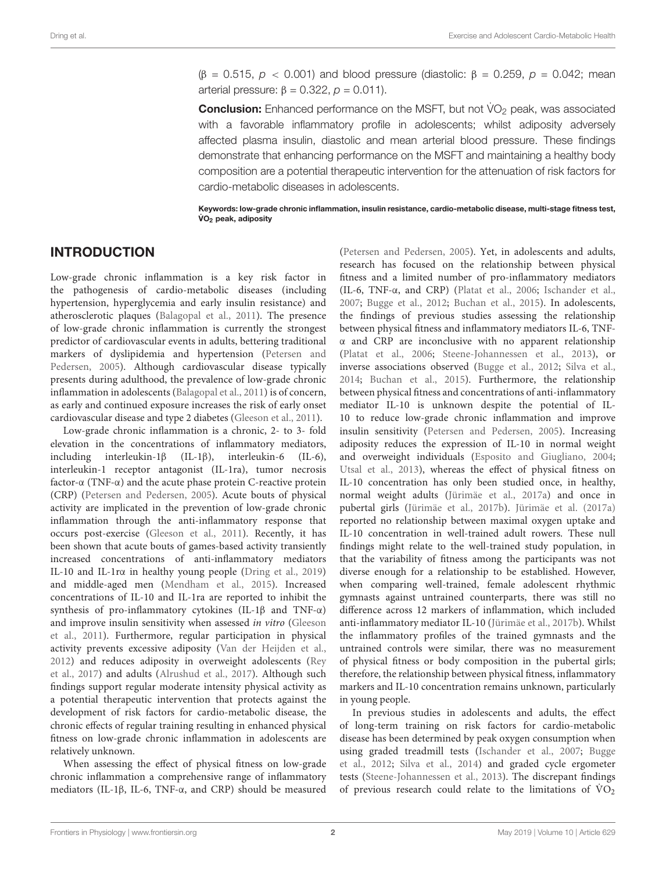$(β = 0.515, p < 0.001)$  and blood pressure (diastolic: β = 0.259, p = 0.042; mean arterial pressure:  $β = 0.322$ ,  $ρ = 0.011$ ).

**Conclusion:** Enhanced performance on the MSFT, but not VO<sub>2</sub> peak, was associated with a favorable inflammatory profile in adolescents; whilst adiposity adversely affected plasma insulin, diastolic and mean arterial blood pressure. These findings demonstrate that enhancing performance on the MSFT and maintaining a healthy body composition are a potential therapeutic intervention for the attenuation of risk factors for cardio-metabolic diseases in adolescents.

Keywords: low-grade chronic inflammation, insulin resistance, cardio-metabolic disease, multi-stage fitness test,  $\mathsf{VO}_2$  peak, adiposity

### INTRODUCTION

Low-grade chronic inflammation is a key risk factor in the pathogenesis of cardio-metabolic diseases (including hypertension, hyperglycemia and early insulin resistance) and atherosclerotic plaques [\(Balagopal et al.,](#page-11-0) [2011\)](#page-11-0). The presence of low-grade chronic inflammation is currently the strongest predictor of cardiovascular events in adults, bettering traditional markers of dyslipidemia and hypertension [\(Petersen and](#page-11-1) [Pedersen,](#page-11-1) [2005\)](#page-11-1). Although cardiovascular disease typically presents during adulthood, the prevalence of low-grade chronic inflammation in adolescents [\(Balagopal et al.,](#page-11-0) [2011\)](#page-11-0) is of concern, as early and continued exposure increases the risk of early onset cardiovascular disease and type 2 diabetes [\(Gleeson et al.,](#page-11-2) [2011\)](#page-11-2).

Low-grade chronic inflammation is a chronic, 2- to 3- fold elevation in the concentrations of inflammatory mediators, including interleukin-1β (IL-1β), interleukin-6 (IL-6), interleukin-1 receptor antagonist (IL-1ra), tumor necrosis factor-α (TNF-α) and the acute phase protein C-reactive protein (CRP) [\(Petersen and Pedersen,](#page-11-1) [2005\)](#page-11-1). Acute bouts of physical activity are implicated in the prevention of low-grade chronic inflammation through the anti-inflammatory response that occurs post-exercise [\(Gleeson et al.,](#page-11-2) [2011\)](#page-11-2). Recently, it has been shown that acute bouts of games-based activity transiently increased concentrations of anti-inflammatory mediators IL-10 and IL-1rα in healthy young people [\(Dring et al.,](#page-11-3) [2019\)](#page-11-3) and middle-aged men [\(Mendham et al.,](#page-11-4) [2015\)](#page-11-4). Increased concentrations of IL-10 and IL-1ra are reported to inhibit the synthesis of pro-inflammatory cytokines (IL-1β and TNF-α) and improve insulin sensitivity when assessed in vitro [\(Gleeson](#page-11-2) [et al.,](#page-11-2) [2011\)](#page-11-2). Furthermore, regular participation in physical activity prevents excessive adiposity [\(Van der Heijden et al.,](#page-12-0) [2012\)](#page-12-0) and reduces adiposity in overweight adolescents [\(Rey](#page-11-5) [et al.,](#page-11-5) [2017\)](#page-11-5) and adults [\(Alrushud et al.,](#page-11-6) [2017\)](#page-11-6). Although such findings support regular moderate intensity physical activity as a potential therapeutic intervention that protects against the development of risk factors for cardio-metabolic disease, the chronic effects of regular training resulting in enhanced physical fitness on low-grade chronic inflammation in adolescents are relatively unknown.

When assessing the effect of physical fitness on low-grade chronic inflammation a comprehensive range of inflammatory mediators (IL-1β, IL-6, TNF-α, and CRP) should be measured

[\(Petersen and Pedersen,](#page-11-1) [2005\)](#page-11-1). Yet, in adolescents and adults, research has focused on the relationship between physical fitness and a limited number of pro-inflammatory mediators (IL-6, TNF-α, and CRP) [\(Platat et al.,](#page-11-7) [2006;](#page-11-7) [Ischander et al.,](#page-11-8) [2007;](#page-11-8) [Bugge et al.,](#page-11-9) [2012;](#page-11-9) [Buchan et al.,](#page-11-10) [2015\)](#page-11-10). In adolescents, the findings of previous studies assessing the relationship between physical fitness and inflammatory mediators IL-6, TNFα and CRP are inconclusive with no apparent relationship [\(Platat et al.,](#page-11-7) [2006;](#page-11-7) [Steene-Johannessen et al.,](#page-12-1) [2013\)](#page-12-1), or inverse associations observed [\(Bugge et al.,](#page-11-9) [2012;](#page-11-9) [Silva et al.,](#page-12-2) [2014;](#page-12-2) [Buchan et al.,](#page-11-10) [2015\)](#page-11-10). Furthermore, the relationship between physical fitness and concentrations of anti-inflammatory mediator IL-10 is unknown despite the potential of IL-10 to reduce low-grade chronic inflammation and improve insulin sensitivity [\(Petersen and Pedersen,](#page-11-1) [2005\)](#page-11-1). Increasing adiposity reduces the expression of IL-10 in normal weight and overweight individuals [\(Esposito and Giugliano,](#page-11-11) [2004;](#page-11-11) [Utsal et al.,](#page-12-3) [2013\)](#page-12-3), whereas the effect of physical fitness on IL-10 concentration has only been studied once, in healthy, normal weight adults [\(Jürimäe et al.,](#page-11-12) [2017a\)](#page-11-12) and once in pubertal girls [\(Jürimäe et al.,](#page-11-13) [2017b\)](#page-11-13). [Jürimäe et al.](#page-11-12) [\(2017a\)](#page-11-12) reported no relationship between maximal oxygen uptake and IL-10 concentration in well-trained adult rowers. These null findings might relate to the well-trained study population, in that the variability of fitness among the participants was not diverse enough for a relationship to be established. However, when comparing well-trained, female adolescent rhythmic gymnasts against untrained counterparts, there was still no difference across 12 markers of inflammation, which included anti-inflammatory mediator IL-10 [\(Jürimäe et al.,](#page-11-13) [2017b\)](#page-11-13). Whilst the inflammatory profiles of the trained gymnasts and the untrained controls were similar, there was no measurement of physical fitness or body composition in the pubertal girls; therefore, the relationship between physical fitness, inflammatory markers and IL-10 concentration remains unknown, particularly in young people.

In previous studies in adolescents and adults, the effect of long-term training on risk factors for cardio-metabolic disease has been determined by peak oxygen consumption when using graded treadmill tests [\(Ischander et al.,](#page-11-8) [2007;](#page-11-8) [Bugge](#page-11-9) [et al.,](#page-11-9) [2012;](#page-11-9) [Silva et al.,](#page-12-2) [2014\)](#page-12-2) and graded cycle ergometer tests [\(Steene-Johannessen et al.,](#page-12-1) [2013\)](#page-12-1). The discrepant findings of previous research could relate to the limitations of  $\rm \dot{VO}_2$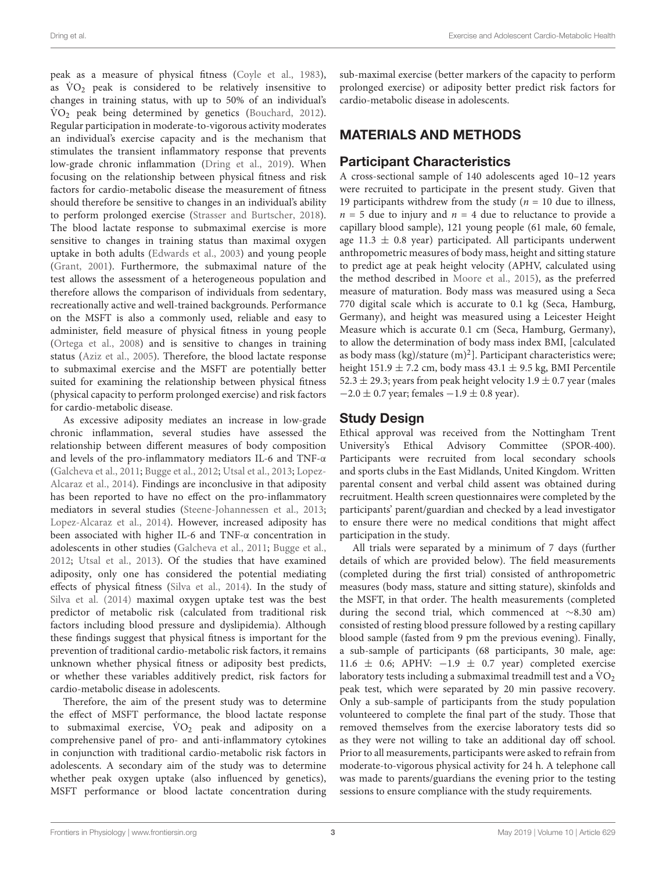peak as a measure of physical fitness [\(Coyle et al.,](#page-11-14) [1983\)](#page-11-14), as  $\rm \dot{V}O_2$  peak is considered to be relatively insensitive to changes in training status, with up to 50% of an individual's VO<sub>2</sub> peak being determined by genetics [\(Bouchard,](#page-11-15) [2012\)](#page-11-15). Regular participation in moderate-to-vigorous activity moderates an individual's exercise capacity and is the mechanism that stimulates the transient inflammatory response that prevents low-grade chronic inflammation [\(Dring et al.,](#page-11-3) [2019\)](#page-11-3). When focusing on the relationship between physical fitness and risk factors for cardio-metabolic disease the measurement of fitness should therefore be sensitive to changes in an individual's ability to perform prolonged exercise [\(Strasser and Burtscher,](#page-12-4) [2018\)](#page-12-4). The blood lactate response to submaximal exercise is more sensitive to changes in training status than maximal oxygen uptake in both adults [\(Edwards et al.,](#page-11-16) [2003\)](#page-11-16) and young people [\(Grant,](#page-11-17) [2001\)](#page-11-17). Furthermore, the submaximal nature of the test allows the assessment of a heterogeneous population and therefore allows the comparison of individuals from sedentary, recreationally active and well-trained backgrounds. Performance on the MSFT is also a commonly used, reliable and easy to administer, field measure of physical fitness in young people [\(Ortega et al.,](#page-11-18) [2008\)](#page-11-18) and is sensitive to changes in training status [\(Aziz et al.,](#page-11-19) [2005\)](#page-11-19). Therefore, the blood lactate response to submaximal exercise and the MSFT are potentially better suited for examining the relationship between physical fitness (physical capacity to perform prolonged exercise) and risk factors for cardio-metabolic disease.

As excessive adiposity mediates an increase in low-grade chronic inflammation, several studies have assessed the relationship between different measures of body composition and levels of the pro-inflammatory mediators IL-6 and TNF-α [\(Galcheva et al.,](#page-11-20) [2011;](#page-11-20) [Bugge et al.,](#page-11-9) [2012;](#page-11-9) [Utsal et al.,](#page-12-3) [2013;](#page-12-3) [Lopez-](#page-11-21)[Alcaraz et al.,](#page-11-21) [2014\)](#page-11-21). Findings are inconclusive in that adiposity has been reported to have no effect on the pro-inflammatory mediators in several studies [\(Steene-Johannessen et al.,](#page-12-1) [2013;](#page-12-1) [Lopez-Alcaraz et al.,](#page-11-21) [2014\)](#page-11-21). However, increased adiposity has been associated with higher IL-6 and TNF-α concentration in adolescents in other studies [\(Galcheva et al.,](#page-11-20) [2011;](#page-11-20) [Bugge et al.,](#page-11-9) [2012;](#page-11-9) [Utsal et al.,](#page-12-3) [2013\)](#page-12-3). Of the studies that have examined adiposity, only one has considered the potential mediating effects of physical fitness [\(Silva et al.,](#page-12-2) [2014\)](#page-12-2). In the study of [Silva et al.](#page-12-2) [\(2014\)](#page-12-2) maximal oxygen uptake test was the best predictor of metabolic risk (calculated from traditional risk factors including blood pressure and dyslipidemia). Although these findings suggest that physical fitness is important for the prevention of traditional cardio-metabolic risk factors, it remains unknown whether physical fitness or adiposity best predicts, or whether these variables additively predict, risk factors for cardio-metabolic disease in adolescents.

Therefore, the aim of the present study was to determine the effect of MSFT performance, the blood lactate response to submaximal exercise,  $\dot{V}O_2$  peak and adiposity on a comprehensive panel of pro- and anti-inflammatory cytokines in conjunction with traditional cardio-metabolic risk factors in adolescents. A secondary aim of the study was to determine whether peak oxygen uptake (also influenced by genetics), MSFT performance or blood lactate concentration during sub-maximal exercise (better markers of the capacity to perform prolonged exercise) or adiposity better predict risk factors for cardio-metabolic disease in adolescents.

### MATERIALS AND METHODS

### Participant Characteristics

A cross-sectional sample of 140 adolescents aged 10–12 years were recruited to participate in the present study. Given that 19 participants withdrew from the study ( $n = 10$  due to illness,  $n = 5$  due to injury and  $n = 4$  due to reluctance to provide a capillary blood sample), 121 young people (61 male, 60 female, age 11.3  $\pm$  0.8 year) participated. All participants underwent anthropometric measures of body mass, height and sitting stature to predict age at peak height velocity (APHV, calculated using the method described in [Moore et al.,](#page-11-22) [2015\)](#page-11-22), as the preferred measure of maturation. Body mass was measured using a Seca 770 digital scale which is accurate to 0.1 kg (Seca, Hamburg, Germany), and height was measured using a Leicester Height Measure which is accurate 0.1 cm (Seca, Hamburg, Germany), to allow the determination of body mass index BMI, [calculated as body mass (kg)/stature  $(m)^2$ ]. Participant characteristics were; height 151.9  $\pm$  7.2 cm, body mass 43.1  $\pm$  9.5 kg, BMI Percentile 52.3  $\pm$  29.3; years from peak height velocity 1.9  $\pm$  0.7 year (males  $-2.0 \pm 0.7$  year; females  $-1.9 \pm 0.8$  year).

### Study Design

Ethical approval was received from the Nottingham Trent University's Ethical Advisory Committee (SPOR-400). Participants were recruited from local secondary schools and sports clubs in the East Midlands, United Kingdom. Written parental consent and verbal child assent was obtained during recruitment. Health screen questionnaires were completed by the participants' parent/guardian and checked by a lead investigator to ensure there were no medical conditions that might affect participation in the study.

All trials were separated by a minimum of 7 days (further details of which are provided below). The field measurements (completed during the first trial) consisted of anthropometric measures (body mass, stature and sitting stature), skinfolds and the MSFT, in that order. The health measurements (completed during the second trial, which commenced at ∼8.30 am) consisted of resting blood pressure followed by a resting capillary blood sample (fasted from 9 pm the previous evening). Finally, a sub-sample of participants (68 participants, 30 male, age: 11.6 ± 0.6; APHV: −1.9 ± 0.7 year) completed exercise laboratory tests including a submaximal treadmill test and a  $\rm \dot{V}O_2$ peak test, which were separated by 20 min passive recovery. Only a sub-sample of participants from the study population volunteered to complete the final part of the study. Those that removed themselves from the exercise laboratory tests did so as they were not willing to take an additional day off school. Prior to all measurements, participants were asked to refrain from moderate-to-vigorous physical activity for 24 h. A telephone call was made to parents/guardians the evening prior to the testing sessions to ensure compliance with the study requirements.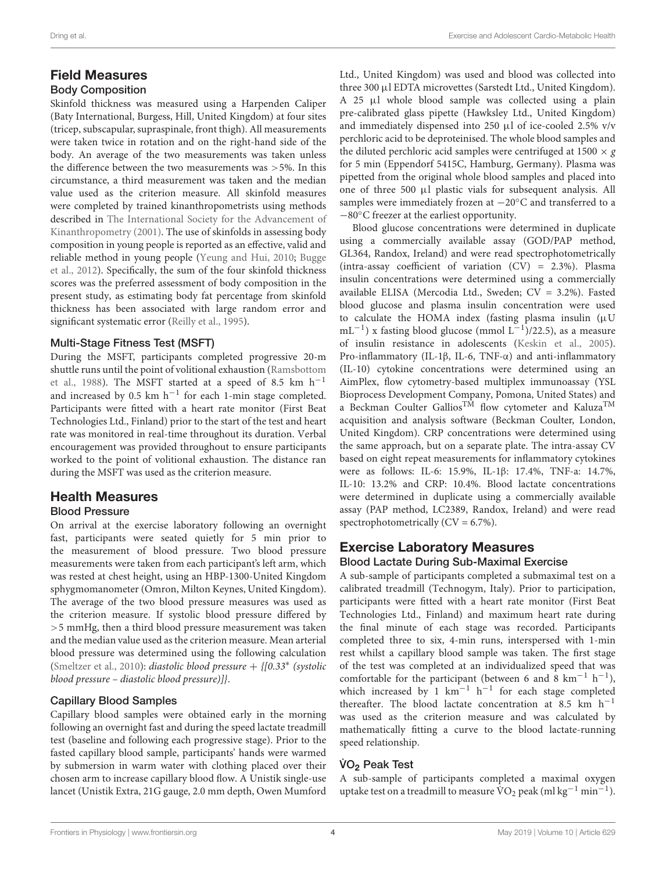#### Dring et al. Exercise and Adolescent Cardio-Metabolic Health

#### Field Measures Body Composition

Skinfold thickness was measured using a Harpenden Caliper (Baty International, Burgess, Hill, United Kingdom) at four sites (tricep, subscapular, supraspinale, front thigh). All measurements were taken twice in rotation and on the right-hand side of the body. An average of the two measurements was taken unless the difference between the two measurements was >5%. In this circumstance, a third measurement was taken and the median value used as the criterion measure. All skinfold measures were completed by trained kinanthropometrists using methods described in [The International Society for the Advancement of](#page-12-5) [Kinanthropometry](#page-12-5) [\(2001\)](#page-12-5). The use of skinfolds in assessing body composition in young people is reported as an effective, valid and reliable method in young people [\(Yeung and Hui,](#page-12-6) [2010;](#page-12-6) [Bugge](#page-11-9) [et al.,](#page-11-9) [2012\)](#page-11-9). Specifically, the sum of the four skinfold thickness scores was the preferred assessment of body composition in the present study, as estimating body fat percentage from skinfold thickness has been associated with large random error and significant systematic error [\(Reilly et al.,](#page-11-23) [1995\)](#page-11-23).

#### Multi-Stage Fitness Test (MSFT)

During the MSFT, participants completed progressive 20-m shuttle runs until the point of volitional exhaustion [\(Ramsbottom](#page-11-24) [et al.,](#page-11-24) [1988\)](#page-11-24). The MSFT started at a speed of 8.5 km  $h^{-1}$ and increased by 0.5 km h−<sup>1</sup> for each 1-min stage completed. Participants were fitted with a heart rate monitor (First Beat Technologies Ltd., Finland) prior to the start of the test and heart rate was monitored in real-time throughout its duration. Verbal encouragement was provided throughout to ensure participants worked to the point of volitional exhaustion. The distance ran during the MSFT was used as the criterion measure.

## Health Measures

### Blood Pressure

On arrival at the exercise laboratory following an overnight fast, participants were seated quietly for 5 min prior to the measurement of blood pressure. Two blood pressure measurements were taken from each participant's left arm, which was rested at chest height, using an HBP-1300-United Kingdom sphygmomanometer (Omron, Milton Keynes, United Kingdom). The average of the two blood pressure measures was used as the criterion measure. If systolic blood pressure differed by >5 mmHg, then a third blood pressure measurement was taken and the median value used as the criterion measure. Mean arterial blood pressure was determined using the following calculation [\(Smeltzer et al.,](#page-12-7) [2010\)](#page-12-7): diastolic blood pressure + {[0.33<sup>∗</sup> (systolic blood pressure – diastolic blood pressure)]}.

#### Capillary Blood Samples

Capillary blood samples were obtained early in the morning following an overnight fast and during the speed lactate treadmill test (baseline and following each progressive stage). Prior to the fasted capillary blood sample, participants' hands were warmed by submersion in warm water with clothing placed over their chosen arm to increase capillary blood flow. A Unistik single-use lancet (Unistik Extra, 21G gauge, 2.0 mm depth, Owen Mumford

Ltd., United Kingdom) was used and blood was collected into three 300 µl EDTA microvettes (Sarstedt Ltd., United Kingdom). A 25 µl whole blood sample was collected using a plain pre-calibrated glass pipette (Hawksley Ltd., United Kingdom) and immediately dispensed into 250 µl of ice-cooled 2.5% v/v perchloric acid to be deproteinised. The whole blood samples and the diluted perchloric acid samples were centrifuged at 1500  $\times g$ for 5 min (Eppendorf 5415C, Hamburg, Germany). Plasma was pipetted from the original whole blood samples and placed into one of three 500 µl plastic vials for subsequent analysis. All samples were immediately frozen at  $-20^{\circ}$ C and transferred to a −80◦C freezer at the earliest opportunity.

Blood glucose concentrations were determined in duplicate using a commercially available assay (GOD/PAP method, GL364, Randox, Ireland) and were read spectrophotometrically (intra-assay coefficient of variation (CV) = 2.3%). Plasma insulin concentrations were determined using a commercially available ELISA (Mercodia Ltd., Sweden; CV = 3.2%). Fasted blood glucose and plasma insulin concentration were used to calculate the HOMA index (fasting plasma insulin  $(\mu U)$ mL<sup>-1</sup>) x fasting blood glucose (mmol L<sup>-1</sup>)/22.5), as a measure of insulin resistance in adolescents [\(Keskin et al.,](#page-11-25) [2005\)](#page-11-25). Pro-inflammatory (IL-1β, IL-6, TNF-α) and anti-inflammatory (IL-10) cytokine concentrations were determined using an AimPlex, flow cytometry-based multiplex immunoassay (YSL Bioprocess Development Company, Pomona, United States) and a Beckman Coulter Gallios<sup>TM</sup> flow cytometer and Kaluza<sup>TM</sup> acquisition and analysis software (Beckman Coulter, London, United Kingdom). CRP concentrations were determined using the same approach, but on a separate plate. The intra-assay CV based on eight repeat measurements for inflammatory cytokines were as follows: IL-6: 15.9%, IL-1β: 17.4%, TNF-a: 14.7%, IL-10: 13.2% and CRP: 10.4%. Blood lactate concentrations were determined in duplicate using a commercially available assay (PAP method, LC2389, Randox, Ireland) and were read spectrophotometrically  $(CV = 6.7\%).$ 

#### Exercise Laboratory Measures Blood Lactate During Sub-Maximal Exercise

A sub-sample of participants completed a submaximal test on a calibrated treadmill (Technogym, Italy). Prior to participation, participants were fitted with a heart rate monitor (First Beat Technologies Ltd., Finland) and maximum heart rate during the final minute of each stage was recorded. Participants completed three to six, 4-min runs, interspersed with 1-min rest whilst a capillary blood sample was taken. The first stage of the test was completed at an individualized speed that was comfortable for the participant (between 6 and  $\overline{8}$  km<sup>-1</sup> h<sup>-1</sup>), which increased by 1  $km^{-1}$  h<sup>-1</sup> for each stage completed thereafter. The blood lactate concentration at 8.5 km  $h^{-1}$ was used as the criterion measure and was calculated by mathematically fitting a curve to the blood lactate-running speed relationship.

### VO<sub>2</sub> Peak Test

A sub-sample of participants completed a maximal oxygen uptake test on a treadmill to measure  $\rm \dot{\hat{V}O}_2$  peak (ml kg<sup>-1</sup> min<sup>-1</sup>).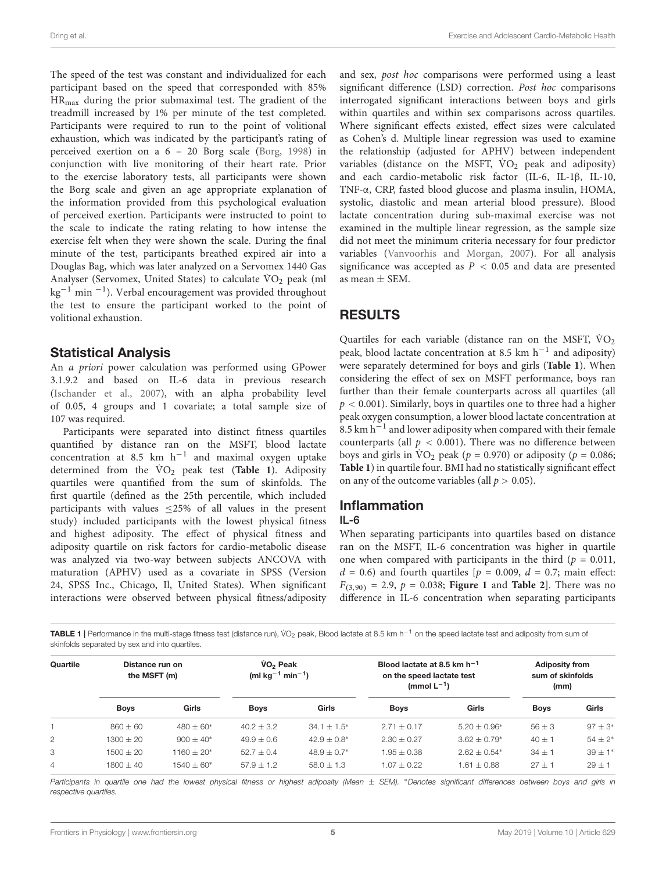The speed of the test was constant and individualized for each participant based on the speed that corresponded with 85% HRmax during the prior submaximal test. The gradient of the treadmill increased by 1% per minute of the test completed. Participants were required to run to the point of volitional exhaustion, which was indicated by the participant's rating of perceived exertion on a 6 – 20 Borg scale [\(Borg,](#page-11-26) [1998\)](#page-11-26) in conjunction with live monitoring of their heart rate. Prior to the exercise laboratory tests, all participants were shown the Borg scale and given an age appropriate explanation of the information provided from this psychological evaluation of perceived exertion. Participants were instructed to point to the scale to indicate the rating relating to how intense the exercise felt when they were shown the scale. During the final minute of the test, participants breathed expired air into a Douglas Bag, which was later analyzed on a Servomex 1440 Gas Analyser (Servomex, United States) to calculate  $\rm \dot{VO}_2$  peak (ml kg<sup>-1</sup> min<sup>-1</sup>). Verbal encouragement was provided throughout the test to ensure the participant worked to the point of volitional exhaustion.

### Statistical Analysis

An a priori power calculation was performed using GPower 3.1.9.2 and based on IL-6 data in previous research [\(Ischander et al.,](#page-11-8) [2007\)](#page-11-8), with an alpha probability level of 0.05, 4 groups and 1 covariate; a total sample size of 107 was required.

Participants were separated into distinct fitness quartiles quantified by distance ran on the MSFT, blood lactate concentration at 8.5 km h−<sup>1</sup> and maximal oxygen uptake determined from the  $\rm \dot{V}O_2$  peak test ([Table 1](#page-4-0)). Adiposity quartiles were quantified from the sum of skinfolds. The first quartile (defined as the 25th percentile, which included participants with values  $\leq$ 25% of all values in the present study) included participants with the lowest physical fitness and highest adiposity. The effect of physical fitness and adiposity quartile on risk factors for cardio-metabolic disease was analyzed via two-way between subjects ANCOVA with maturation (APHV) used as a covariate in SPSS (Version 24, SPSS Inc., Chicago, Il, United States). When significant interactions were observed between physical fitness/adiposity and sex, post hoc comparisons were performed using a least significant difference (LSD) correction. Post hoc comparisons interrogated significant interactions between boys and girls within quartiles and within sex comparisons across quartiles. Where significant effects existed, effect sizes were calculated as Cohen's d. Multiple linear regression was used to examine the relationship (adjusted for APHV) between independent variables (distance on the MSFT,  $\dot{V}O_2$  peak and adiposity) and each cardio-metabolic risk factor (IL-6, IL-1β, IL-10, TNF-α, CRP, fasted blood glucose and plasma insulin, HOMA, systolic, diastolic and mean arterial blood pressure). Blood lactate concentration during sub-maximal exercise was not examined in the multiple linear regression, as the sample size did not meet the minimum criteria necessary for four predictor variables [\(Vanvoorhis and Morgan,](#page-12-8) [2007\)](#page-12-8). For all analysis significance was accepted as  $P < 0.05$  and data are presented as mean  $\pm$  SEM.

### RESULTS

Quartiles for each variable (distance ran on the MSFT,  $\rm \dot{V}O_2$ peak, blood lactate concentration at 8.5 km h<sup>-1</sup> and adiposity) were separately determined for boys and girls (**[Table 1](#page-4-0)**). When considering the effect of sex on MSFT performance, boys ran further than their female counterparts across all quartiles (all  $p < 0.001$ ). Similarly, boys in quartiles one to three had a higher peak oxygen consumption, a lower blood lactate concentration at 8.5 km h−<sup>1</sup> and lower adiposity when compared with their female counterparts (all  $p < 0.001$ ). There was no difference between boys and girls in  $\text{VO}_2$  peak ( $p = 0.970$ ) or adiposity ( $p = 0.086$ ; **[Table 1](#page-4-0)**) in quartile four. BMI had no statistically significant effect on any of the outcome variables (all  $p > 0.05$ ).

### Inflammation

#### IL-6

When separating participants into quartiles based on distance ran on the MSFT, IL-6 concentration was higher in quartile one when compared with participants in the third ( $p = 0.011$ ,  $d = 0.6$ ) and fourth quartiles [ $p = 0.009$ ,  $d = 0.7$ ; main effect:  $F_{(3,90)} = 2.9, p = 0.038;$  **[Figure 1](#page-5-0)** and **[Table 2](#page-5-1)**. There was no difference in IL-6 concentration when separating participants

<span id="page-4-0"></span>TABLE 1 | Performance in the multi-stage fitness test (distance run), VO<sub>2</sub> peak, Blood lactate at 8.5 km h<sup>−1</sup> on the speed lactate test and adiposity from sum of skinfolds separated by sex and into quartiles.

| Quartile | Distance run on<br>the MSFT (m) |              | VO <sub>2</sub> Peak<br>(ml $kg^{-1}$ min <sup>-1</sup> ) |                  | Blood lactate at 8.5 km $h^{-1}$<br>on the speed lactate test<br>(mmol $L^{-1}$ ) |                | <b>Adiposity from</b><br>sum of skinfolds<br>(mm) |              |
|----------|---------------------------------|--------------|-----------------------------------------------------------|------------------|-----------------------------------------------------------------------------------|----------------|---------------------------------------------------|--------------|
|          | <b>Boys</b>                     | Girls        | <b>Boys</b>                                               | Girls            | <b>Boys</b>                                                                       | Girls          | <b>Boys</b>                                       | Girls        |
|          | $860 + 60$                      | $480 + 60*$  | $40.2 + 3.2$                                              | $34.1 + 1.5^*$   | $2.71 + 0.17$                                                                     | $5.20 + 0.96*$ | $56 \pm 3$                                        | $97 \pm 3^*$ |
| 2        | $1300 \pm 20$                   | $900 + 40*$  | $49.9 + 0.6$                                              | $42.9 + 0.8^*$   | $2.30 \pm 0.27$                                                                   | $3.62 + 0.79*$ | $40 \pm 1$                                        | $54 \pm 2*$  |
| 3        | $1500 \pm 20$                   | $1160 + 20*$ | $52.7 + 0.4$                                              | $48.9 \pm 0.7^*$ | $1.95 + 0.38$                                                                     | $2.62 + 0.54*$ | $34 \pm 1$                                        | $39 \pm 1*$  |
| 4        | $1800 + 40$                     | $1540 + 60*$ | $57.9 + 1.2$                                              | $58.0 \pm 1.3$   | $1.07 \pm 0.22$                                                                   | $1.61 + 0.88$  | $27 + 1$                                          | $29 + 1$     |

Participants in quartile one had the lowest physical fitness or highest adiposity (Mean ± SEM). \*Denotes significant differences between boys and girls in respective quartiles.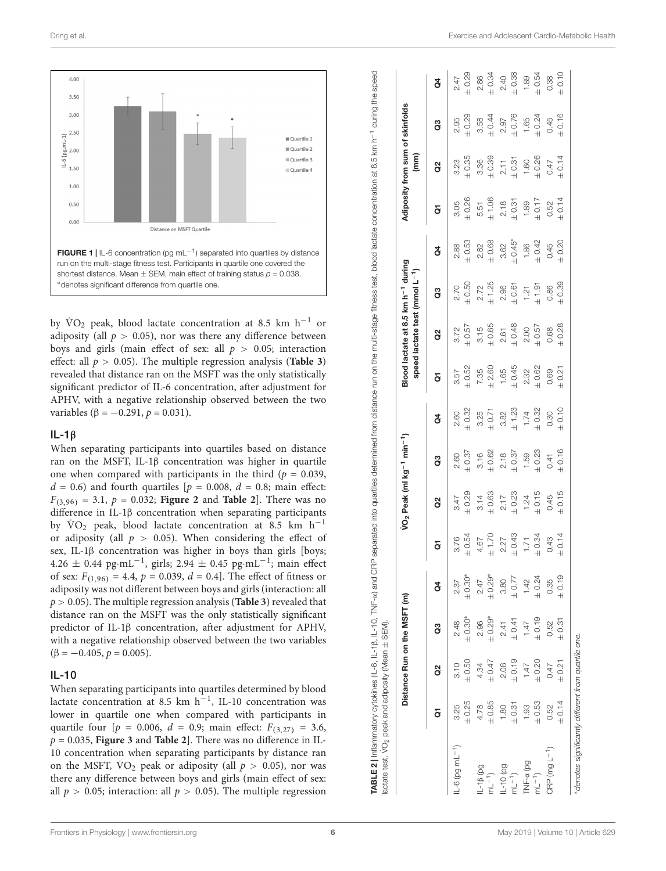

<span id="page-5-0"></span>by  $\text{VO}_2$  peak, blood lactate concentration at 8.5 km h<sup>-1</sup> or adiposity (all  $p > 0.05$ ), nor was there any difference between boys and girls (main effect of sex: all  $p > 0.05$ ; interaction effect: all  $p > 0.05$ ). The multiple regression analysis (**[Table 3](#page-6-0)**) revealed that distance ran on the MSFT was the only statistically significant predictor of IL-6 concentration, after adjustment for APHV, with a negative relationship observed between the two variables ( $\beta = -0.291$ ,  $p = 0.031$ ).

#### IL-1β

When separating participants into quartiles based on distance ran on the MSFT, IL-1β concentration was higher in quartile one when compared with participants in the third ( $p = 0.039$ ,  $d = 0.6$ ) and fourth quartiles [ $p = 0.008$ ,  $d = 0.8$ ; main effect:  $F_{(3,96)} = 3.1, p = 0.032$ ; **[Figure 2](#page-6-1)** and **[Table 2](#page-5-1)**]. There was no difference in IL-1β concentration when separating participants by  $\text{VO}_2$  peak, blood lactate concentration at 8.5 km h<sup>-1</sup> or adiposity (all  $p > 0.05$ ). When considering the effect of sex, IL-1β concentration was higher in boys than girls [boys; 4.26 ± 0.44 pg·mL<sup>-1</sup>, girls; 2.94 ± 0.45 pg·mL<sup>-1</sup>; main effect of sex:  $F_{(1,96)} = 4.4$ ,  $p = 0.039$ ,  $d = 0.4$ . The effect of fitness or adiposity was not different between boys and girls (interaction: all p > 0.05). The multiple regression analysis (**[Table 3](#page-6-0)**) revealed that distance ran on the MSFT was the only statistically significant predictor of IL-1β concentration, after adjustment for APHV, with a negative relationship observed between the two variables  $(\beta = -0.405, p = 0.005).$ 

#### IL-10

When separating participants into quartiles determined by blood lactate concentration at 8.5 km  $h^{-1}$ , IL-10 concentration was lower in quartile one when compared with participants in quartile four  $[p = 0.006, d = 0.9; \text{ main effect: } F_{(3,27)} = 3.6,$  $p = 0.035$ , **[Figure 3](#page-7-0)** and **[Table 2](#page-5-1)**]. There was no difference in IL-10 concentration when separating participants by distance ran on the MSFT,  $\text{VO}_2$  peak or adiposity (all  $p > 0.05$ ), nor was there any difference between boys and girls (main effect of sex: all  $p > 0.05$ ; interaction: all  $p > 0.05$ ). The multiple regression

<span id="page-5-1"></span>

|                      |            | Distance Run on the MSFT (m) |             |            |            | VO2 Peak (ml kg <sup>-1</sup> min <sup>-1</sup> ) |            |            |            | Blood lactate at 8.5 km h <sup>-1</sup> during<br>speed lactate test (mmol L <sup>-1</sup> ) |            |            |            | $\binom{m}{k}$ | Adiposity from sum of skinfolds |            |
|----------------------|------------|------------------------------|-------------|------------|------------|---------------------------------------------------|------------|------------|------------|----------------------------------------------------------------------------------------------|------------|------------|------------|----------------|---------------------------------|------------|
|                      | ā          | g                            | ී           | ğ          | ā          | 8                                                 | ဗွ         | ð          | ā          | 3                                                                                            | ဗွ         | ğ          | ā          | 8              | ဗွ                              | ð          |
| $-6$ (pg mL $-1$ )   | 3.25       | 3.10                         | 2.48        | 2.37       | 3.76       | 3.47                                              | 2.60       | 2.60       | 3.57       | 3.72                                                                                         | 2.70       | 2.88       | 3.05       | 3.23           | 2.95                            | 2.47       |
|                      | ± 0.25     | $\pm 0.50$                   | $0.30*$     | $-0.30*$   | $\pm 0.54$ | $\pm 0.29$                                        | ± 0.37     | ± 0.32     | ± 0.52     | $\pm 0.57$                                                                                   | $\pm 0.50$ | $\pm 0.53$ | ± 0.26     | $\pm 0.35$     | $\pm 0.29$                      | $\pm 0.29$ |
| $-18$ (pg            | 4.78       | 4.34                         | 2.96        | 2.47       | 4.67       | 3.14                                              | 3.16       | 3.25       | 7.35       | 3.15                                                                                         | 2.72       | 2.82       | 5.51       | 3.36           | 3.58                            | 2.86       |
| $nL^{-1}$            | $\pm 0.85$ | $\pm 0.47$                   | $\pm 0.29*$ | $± 0.29*$  | $\pm$ 1.70 | $\pm 0.63$                                        | ± 0.62     | $+0.71$    | ± 2.60     | $\pm 0.65$                                                                                   | $\pm$ 1.25 | $\pm 0.68$ | $\pm 1.06$ | $\pm 0.39$     | ± 0.44                          | $+0.34$    |
| $-10$ (pg            | 1.80       | 2.08                         | 2.41        | 3.80       | 2.27       | 2.17                                              | 2.18       | 3.82       | 1.65       | 2.61                                                                                         | 2.96       | 3.62       | 2.18       | 2.11           | 2.97                            | 2.40       |
| $mL^{-1}$ )          | $\pm 0.31$ | ± 0.19                       | ± 0.41      | $\pm 0.77$ | $\pm 0.43$ | $\pm 0.23$                                        | $\pm 0.37$ | $\pm$ 1.23 | $\pm 0.45$ | $\pm 0.48$                                                                                   | $\pm 0.61$ | $± 0.45*$  | $\pm 0.31$ | $\pm 0.31$     | ± 0.76                          | $\pm 0.38$ |
| Pd) v-HV.            | 1.93       | 1.47                         | 1.47        | 1.42       | 1.71       | 1.24                                              | 1.59       | 1.74       | 2.32       | 2.00                                                                                         | 1.21       | 1.86       | 1.89       | 1.60           | 1.65                            | 1.89       |
| $m = 1$              | $\pm 0.53$ | $\pm 0.20$                   | $\pm 0.19$  | $\pm 0.24$ | $\pm 0.34$ | $\pm 0.15$                                        | $\pm 0.23$ | $\pm 0.32$ | ± 0.62     | $\pm 0.57$                                                                                   | ± 1.91     | $\pm 0.42$ | $\pm$ 0.17 | $\pm 0.26$     | ± 0.24                          | $\pm 0.54$ |
| $CFT$ (mg $L^{-1}$ ) | 0.52       | 0.47                         | 0.52        | 0.35       | 0.43       | 0.45                                              | 0.41       | 0.30       | 0.69       | 0.68                                                                                         | 0.86       | 0.45       | 0.52       | 0.47           | 0.45                            | 0.38       |
|                      | ± 0.14     | $\pm 0.21$                   | $\pm 0.31$  | $\pm 0.19$ | $\pm 0.14$ | ± 0.15                                            | ± 0.16     | ± 0.10     | ± 0.21     | $\pm 0.28$                                                                                   | $\pm 0.39$ | $\pm 0.20$ | ± 0.14     | $\pm 0.14$     | ± 0.16                          | $\pm 0.10$ |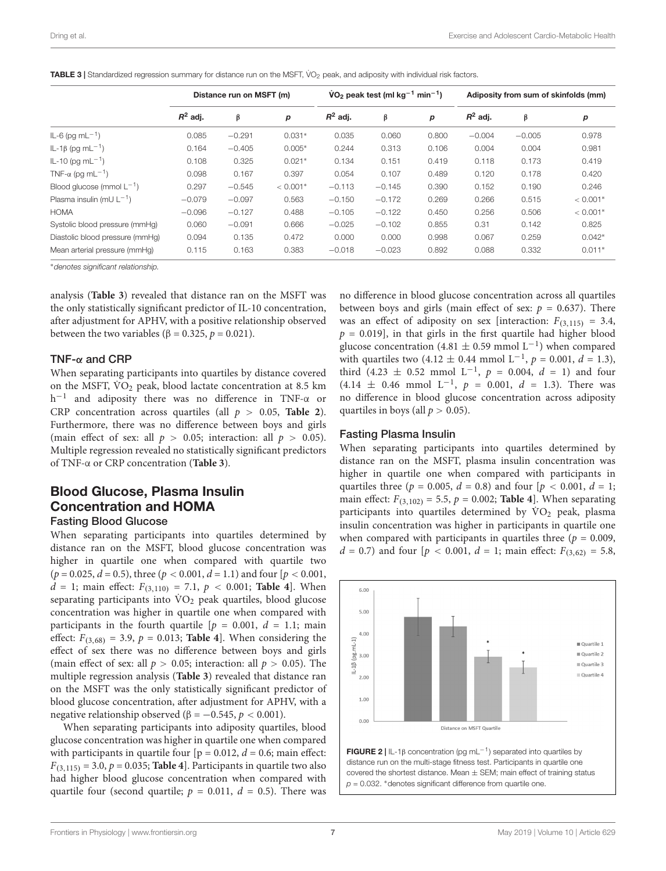|                                      |            | Distance run on MSFT (m) |            |            | $VO2$ peak test (ml kg <sup>-1</sup> min <sup>-1</sup> ) |       |            | Adiposity from sum of skinfolds (mm) |            |
|--------------------------------------|------------|--------------------------|------------|------------|----------------------------------------------------------|-------|------------|--------------------------------------|------------|
|                                      | $R^2$ adj. | β                        | p          | $R^2$ adi. | β                                                        | р     | $R^2$ adj. | β                                    | р          |
| $IL-6$ (pg m $L^{-1}$ )              | 0.085      | $-0.291$                 | $0.031*$   | 0.035      | 0.060                                                    | 0.800 | $-0.004$   | $-0.005$                             | 0.978      |
| IL-1β (pg mL <sup>-1</sup> )         | 0.164      | $-0.405$                 | $0.005*$   | 0.244      | 0.313                                                    | 0.106 | 0.004      | 0.004                                | 0.981      |
| $IL-10$ (pg m $L^{-1}$ )             | 0.108      | 0.325                    | $0.021*$   | 0.134      | 0.151                                                    | 0.419 | 0.118      | 0.173                                | 0.419      |
| TNF- $\alpha$ (pq mL <sup>-1</sup> ) | 0.098      | 0.167                    | 0.397      | 0.054      | 0.107                                                    | 0.489 | 0.120      | 0.178                                | 0.420      |
| Blood glucose (mmol $L^{-1}$ )       | 0.297      | $-0.545$                 | $< 0.001*$ | $-0.113$   | $-0.145$                                                 | 0.390 | 0.152      | 0.190                                | 0.246      |
| Plasma insulin (mU $L^{-1}$ )        | $-0.079$   | $-0.097$                 | 0.563      | $-0.150$   | $-0.172$                                                 | 0.269 | 0.266      | 0.515                                | $< 0.001*$ |
| <b>HOMA</b>                          | $-0.096$   | $-0.127$                 | 0.488      | $-0.105$   | $-0.122$                                                 | 0.450 | 0.256      | 0.506                                | $< 0.001*$ |
| Systolic blood pressure (mmHq)       | 0.060      | $-0.091$                 | 0.666      | $-0.025$   | $-0.102$                                                 | 0.855 | 0.31       | 0.142                                | 0.825      |
| Diastolic blood pressure (mmHq)      | 0.094      | 0.135                    | 0.472      | 0.000      | 0.000                                                    | 0.998 | 0.067      | 0.259                                | $0.042*$   |
| Mean arterial pressure (mmHq)        | 0.115      | 0.163                    | 0.383      | $-0.018$   | $-0.023$                                                 | 0.892 | 0.088      | 0.332                                | $0.011*$   |

<span id="page-6-0"></span>TABLE 3 | Standardized regression summary for distance run on the MSFT, VO<sub>2</sub> peak, and adiposity with individual risk factors.

<sup>∗</sup>denotes significant relationship.

analysis (**[Table 3](#page-6-0)**) revealed that distance ran on the MSFT was the only statistically significant predictor of IL-10 concentration, after adjustment for APHV, with a positive relationship observed between the two variables ( $\beta = 0.325$ ,  $p = 0.021$ ).

#### TNF-α and CRP

When separating participants into quartiles by distance covered on the MSFT,  $\rm \dot{V}O_2$  peak, blood lactate concentration at 8.5 km h −1 and adiposity there was no difference in TNF-α or CRP concentration across quartiles (all  $p > 0.05$ , **[Table 2](#page-5-1)**). Furthermore, there was no difference between boys and girls (main effect of sex: all  $p > 0.05$ ; interaction: all  $p > 0.05$ ). Multiple regression revealed no statistically significant predictors of TNF-α or CRP concentration (**[Table 3](#page-6-0)**).

### Blood Glucose, Plasma Insulin Concentration and HOMA Fasting Blood Glucose

When separating participants into quartiles determined by distance ran on the MSFT, blood glucose concentration was higher in quartile one when compared with quartile two  $(p = 0.025, d = 0.5)$ , three  $(p < 0.001, d = 1.1)$  and four  $[p < 0.001,$  $d = 1$ ; main effect:  $F_{(3,110)} = 7.1$ ,  $p < 0.001$ ; [Table 4](#page-7-1)]. When separating participants into  $\rm \dot{V}O_2$  peak quartiles, blood glucose concentration was higher in quartile one when compared with participants in the fourth quartile  $[p = 0.001, d = 1.1; \text{ main}]$ effect:  $F_{(3,68)} = 3.9$ ,  $p = 0.013$ ; **[Table 4](#page-7-1)**. When considering the effect of sex there was no difference between boys and girls (main effect of sex: all  $p > 0.05$ ; interaction: all  $p > 0.05$ ). The multiple regression analysis (**[Table 3](#page-6-0)**) revealed that distance ran on the MSFT was the only statistically significant predictor of blood glucose concentration, after adjustment for APHV, with a negative relationship observed (β =  $-0.545$ ,  $p < 0.001$ ).

When separating participants into adiposity quartiles, blood glucose concentration was higher in quartile one when compared with participants in quartile four  $[p = 0.012, d = 0.6; \text{ main effect:}]$  $F_{(3,115)} = 3.0, p = 0.035$ ; **[Table 4](#page-7-1)**. Participants in quartile two also had higher blood glucose concentration when compared with quartile four (second quartile;  $p = 0.011$ ,  $d = 0.5$ ). There was no difference in blood glucose concentration across all quartiles between boys and girls (main effect of sex:  $p = 0.637$ ). There was an effect of adiposity on sex [interaction:  $F_{(3,115)} = 3.4$ ,  $p = 0.019$ , in that girls in the first quartile had higher blood glucose concentration (4.81  $\pm$  0.59 mmol L<sup>-1</sup>) when compared with quartiles two (4.12  $\pm$  0.44 mmol L<sup>-1</sup>,  $p = 0.001$ ,  $d = 1.3$ ), third (4.23  $\pm$  0.52 mmol L<sup>-1</sup>,  $p = 0.004$ ,  $d = 1$ ) and four  $(4.14 \pm 0.46 \text{ mmol L}^{-1}, p = 0.001, d = 1.3)$ . There was no difference in blood glucose concentration across adiposity quartiles in boys (all  $p > 0.05$ ).

#### Fasting Plasma Insulin

When separating participants into quartiles determined by distance ran on the MSFT, plasma insulin concentration was higher in quartile one when compared with participants in quartiles three ( $p = 0.005$ ,  $d = 0.8$ ) and four [ $p < 0.001$ ,  $d = 1$ ; main effect:  $F_{(3,102)} = 5.5$ ,  $p = 0.002$ ; **[Table 4](#page-7-1)**]. When separating participants into quartiles determined by  $\rm \dot{V}O_2$  peak, plasma insulin concentration was higher in participants in quartile one when compared with participants in quartiles three ( $p = 0.009$ ,  $d = 0.7$ ) and four [ $p < 0.001$ ,  $d = 1$ ; main effect:  $F_{(3.62)} = 5.8$ ,



<span id="page-6-1"></span>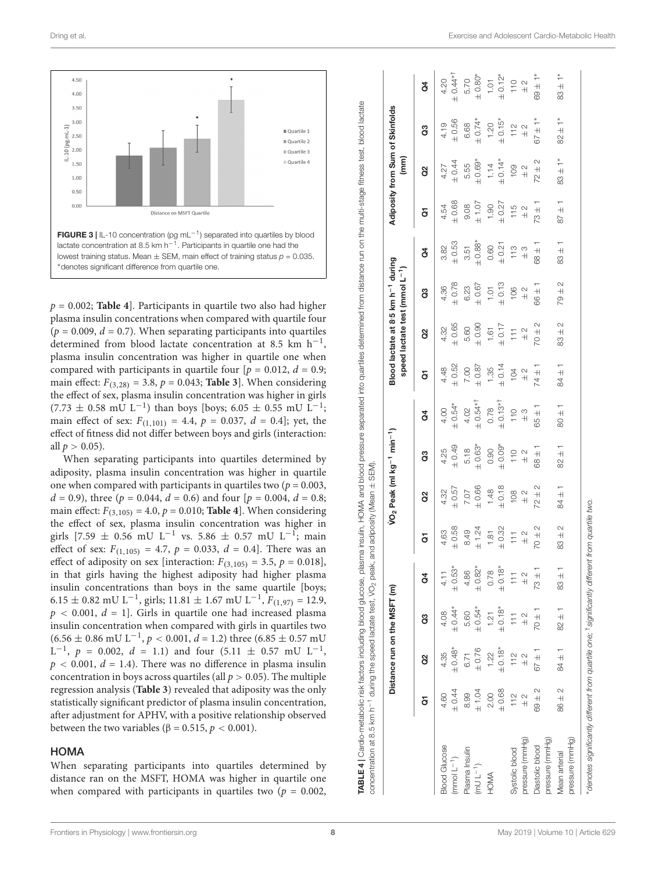

<span id="page-7-0"></span> $p = 0.002$ ; **[Table 4](#page-7-1)**]. Participants in quartile two also had higher plasma insulin concentrations when compared with quartile four  $(p = 0.009, d = 0.7)$ . When separating participants into quartiles determined from blood lactate concentration at 8.5 km  $h^{-1}$ , plasma insulin concentration was higher in quartile one when compared with participants in quartile four  $[p = 0.012, d = 0.9;$ main effect:  $F_{(3,28)} = 3.8$ ,  $p = 0.043$ ; **[Table 3](#page-6-0)**]. When considering the effect of sex, plasma insulin concentration was higher in girls  $(7.73 \pm 0.58 \text{ mU} \text{ L}^{-1})$  than boys [boys; 6.05  $\pm$  0.55 mU L<sup>-1</sup>; main effect of sex:  $F_{(1,101)} = 4.4$ ,  $p = 0.037$ ,  $d = 0.4$ ; yet, the effect of fitness did not differ between boys and girls (interaction: all  $p > 0.05$ ).

When separating participants into quartiles determined by adiposity, plasma insulin concentration was higher in quartile one when compared with participants in quartiles two ( $p = 0.003$ ,  $d = 0.9$ ), three ( $p = 0.044$ ,  $d = 0.6$ ) and four [ $p = 0.004$ ,  $d = 0.8$ ; main effect:  $F_{(3,105)} = 4.0, p = 0.010$ ; **[Table 4](#page-7-1)**]. When considering the effect of sex, plasma insulin concentration was higher in girls [7.59  $\pm$  0.56 mU L<sup>-1</sup> vs. 5.86  $\pm$  0.57 mU L<sup>-1</sup>; main effect of sex:  $F_{(1,105)} = 4.7$ ,  $p = 0.033$ ,  $d = 0.4$ . There was an effect of adiposity on sex [interaction:  $F_{(3,105)} = 3.5$ ,  $p = 0.018$ ], in that girls having the highest adiposity had higher plasma insulin concentrations than boys in the same quartile [boys; 6.15 ± 0.82 mU L<sup>-1</sup>, girls; 11.81 ± 1.67 mU L<sup>-1</sup>,  $F_{(1,97)} = 12.9$ ,  $p < 0.001$ ,  $d = 1$ . Girls in quartile one had increased plasma insulin concentration when compared with girls in quartiles two  $(6.56 \pm 0.86 \text{ mU L}^{-1}, p < 0.001, d = 1.2)$  three  $(6.85 \pm 0.57 \text{ mU})$ L<sup>-1</sup>,  $p = 0.002$ ,  $d = 1.1$ ) and four  $(5.11 \pm 0.57 \text{ mU L}^{-1})$  $p < 0.001$ ,  $d = 1.4$ ). There was no difference in plasma insulin concentration in boys across quartiles (all  $p > 0.05$ ). The multiple regression analysis (**[Table 3](#page-6-0)**) revealed that adiposity was the only statistically significant predictor of plasma insulin concentration, after adjustment for APHV, with a positive relationship observed between the two variables ( $\beta = 0.515$ ,  $p < 0.001$ ).

#### **HOMA**

<span id="page-7-1"></span>When separating participants into quartiles determined by distance ran on the MSFT, HOMA was higher in quartile one when compared with participants in quartiles two ( $p = 0.002$ ,

|                                    |               | Distance run on the MSFT (m) |                |                |                 | VO <sub>2</sub> Peak (ml kg <sup>-1</sup> min <sup>-1</sup> ) |               |               |               | Blood lactate at 8:5 km h <sup>-1</sup> during<br>speed lactate test (mmol L <sup>-1</sup> ) |               |               |               | (mm)          | Adiposity from Sum of Skinfolds |                    |
|------------------------------------|---------------|------------------------------|----------------|----------------|-----------------|---------------------------------------------------------------|---------------|---------------|---------------|----------------------------------------------------------------------------------------------|---------------|---------------|---------------|---------------|---------------------------------|--------------------|
|                                    | ā             | g                            | ဒိ             | ð              | ā               | g                                                             | ဗွ            | đ             | ā             | g                                                                                            | ဗွ            | ğ             | ā             | g             | ဒိ                              | ð                  |
| <b>Blood Glucose</b>               | 4.60          | 4.35                         | 4.08           | 4.11           | 4.63            | 4.32                                                          | 4.25          | 4.00          | 4.48          | 4.32                                                                                         | 4.36          | 3.82          | 4.54          | 4.27          | 4.19                            | 4.20               |
| $(mmol L^{-1})$                    | 0.44          | $\pm 0.48*$                  | $± 0.44*$      | $\pm 0.53*$    | $\pm 0.58$      | $\pm 0.57$                                                    | $\pm 0.49$    | $+0.54*$      | $\pm 0.52$    | $\pm 0.65$                                                                                   | $\pm 0.78$    | $\pm 0.53$    | $\pm 0.68$    | $+0.44$       | $\pm 0.56$                      | $± 0.44**$         |
| Plasma Insulin                     | 8.99          | 6.71                         | 5.60           | 4.86           | 8.49            | 7.07                                                          | 5.18          | 4.02          | 7.00          | 5.60                                                                                         | 6.23          | 3.51          | 9.08          | 5.55          | 6.68                            | 5.70               |
| $(mUL^{-1})$                       | ±1.04         | $\pm 0.76$                   | $\pm 0.54*$    | $\pm 0.82*$    | ± 1.24          | $\pm 0.66$                                                    | $+0.63*$      | $+0.54**$     | $\pm$ 0.87    | $\pm 0.90$                                                                                   | $\pm 0.67$    | $+0.88*$      | $\pm$ 1.07    | $±0.69*$      | $± 0.74*$                       | $+0.80*$           |
| HOMA                               | 2.00          | 1.22                         | 1.21           | 0.78           | 1.81            | 1.48                                                          | 0.90          | 0.78          | 1.35          | $1.61$                                                                                       | $1.01$        | 0.60          | 1.90          | 1.14          | 1.20                            | $\overline{1}$ .01 |
|                                    | $\pm 0.68$    | $±0.18*$                     | $+0.18*$       | $+0.18*$       | ± 0.32          | $\pm 0.18$                                                    | $*80.04*$     | $+0.13**$     | $\pm 0.14$    | $\pm$ 0.17                                                                                   | $\pm 0.13$    | $\pm 0.21$    | $\pm 0.27$    | $± 0.14*$     | $+0.15*$                        | $+0.12*$           |
| Systolic blood                     | 112           | 112                          | $\frac{1}{11}$ | $\frac{1}{11}$ | $\overline{11}$ | 108                                                           | 110           | 110           | 104           | $\overline{11}$                                                                              | 106           | 113           | 115           | 109           | 112                             | $110$              |
| pressure (mmHg)                    | $\frac{2}{3}$ | $\frac{2}{1}$                | $\frac{2}{1}$  | $\frac{2}{3}$  | $\frac{2}{1}$   | $\frac{2}{1}$                                                 | $\frac{2}{1}$ | $\frac{3}{4}$ | $\frac{2}{1}$ | $\frac{1}{2}$                                                                                | $\frac{1}{2}$ | $\frac{3}{4}$ | $\frac{2}{1}$ | $\frac{2}{1}$ | $\frac{1}{2}$                   | $\frac{2}{1}$      |
| pressure (mmHg)<br>Diastolic blood | $69 \pm 2$    | $67 \pm 1$                   | $70 \pm 1$     | $73 \pm 1$     | $70 + 2$        | $72 \pm 2$                                                    | $-188$        | $65 \pm 1$    | $74 \pm 1$    | $70 + 2$                                                                                     | $-140$        | $-140$        | $73 \pm 1$    | $72 \pm 2$    | $67 \pm 1*$                     | $69 \pm 1*$        |
| pressure (mmHg)<br>Mean arterial   | $86 \pm 2$    | $84 \pm 1$                   | $82 \pm 1$     | $83 \pm 1$     | $83 \pm 2$      | $84 \pm 1$                                                    | $82 \pm 1$    | $1 \pm 08$    | $84 \pm 1$    | $83 + 2$                                                                                     | $79 \pm 2$    | $83 + 1$      | $87 \pm 1$    | $83 \pm 1*$   | $82 \pm 1*$                     | $83 \pm 1*$        |

TABLE 4 | Cardio-metabolic risk factors including blood glucose, plasma insulin, HOMA and blood plones into quartiles determined from on the multi-stage fitness test, blood lactate

TABLE 4 | Cardio-metabolic risk factors including blood glucose, plasma insulin, HOMA and blood pressure separated into quartiles determined from distance run on the multi-stage fitness test, blood lactate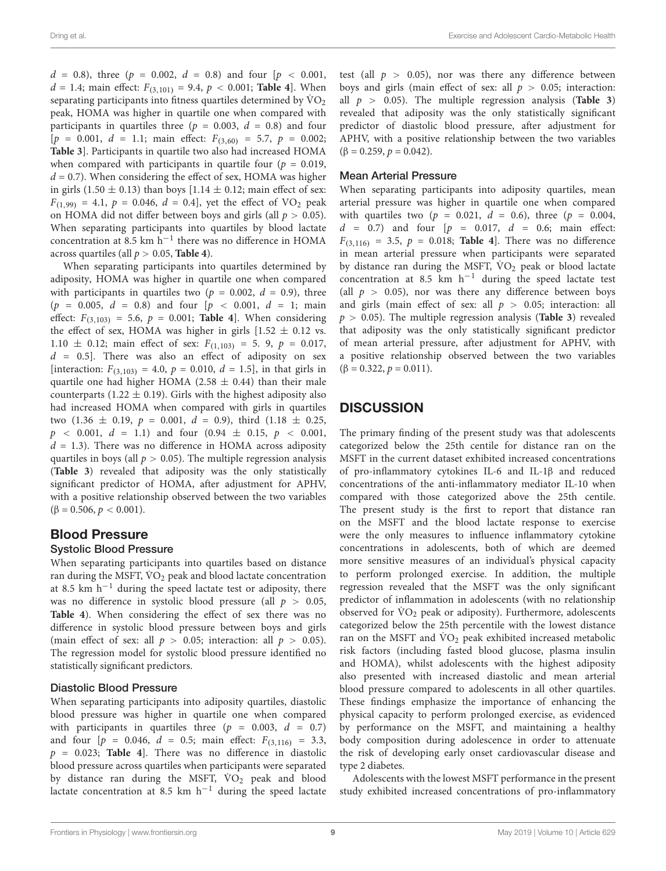$d = 0.8$ ), three (p = 0.002,  $d = 0.8$ ) and four [p < 0.001,  $d = 1.4$ ; main effect:  $F_{(3,101)} = 9.4$ ,  $p < 0.001$ ; [Table 4](#page-7-1)]. When separating participants into fitness quartiles determined by  $\rm \ddot{V}O_{2}$ peak, HOMA was higher in quartile one when compared with participants in quartiles three ( $p = 0.003$ ,  $d = 0.8$ ) and four  $[p = 0.001, d = 1.1; \text{ main effect: } F_{(3,60)} = 5.7, p = 0.002;$ **[Table 3](#page-6-0)**]. Participants in quartile two also had increased HOMA when compared with participants in quartile four ( $p = 0.019$ ,  $d = 0.7$ ). When considering the effect of sex, HOMA was higher in girls (1.50  $\pm$  0.13) than boys [1.14  $\pm$  0.12; main effect of sex:  $F_{(1,99)} = 4.1, p = 0.046, d = 0.4$ , yet the effect of VO<sub>2</sub> peak on HOMA did not differ between boys and girls (all  $p > 0.05$ ). When separating participants into quartiles by blood lactate concentration at 8.5 km h−<sup>1</sup> there was no difference in HOMA across quartiles (all p > 0.05, **[Table 4](#page-7-1)**).

When separating participants into quartiles determined by adiposity, HOMA was higher in quartile one when compared with participants in quartiles two ( $p = 0.002$ ,  $d = 0.9$ ), three  $(p = 0.005, d = 0.8)$  and four  $[p < 0.001, d = 1;$  main effect:  $F_{(3,103)} = 5.6$ ,  $p = 0.001$ ; **[Table 4](#page-7-1)**]. When considering the effect of sex, HOMA was higher in girls  $[1.52 \pm 0.12$  vs. 1.10  $\pm$  0.12; main effect of sex:  $F_{(1,103)} = 5$ . 9,  $p = 0.017$ ,  $d = 0.5$ ]. There was also an effect of adiposity on sex [interaction:  $F_{(3,103)} = 4.0, p = 0.010, d = 1.5$ ], in that girls in quartile one had higher HOMA (2.58  $\pm$  0.44) than their male counterparts (1.22  $\pm$  0.19). Girls with the highest adiposity also had increased HOMA when compared with girls in quartiles two  $(1.36 \pm 0.19, p = 0.001, d = 0.9)$ , third  $(1.18 \pm 0.25,$  $p \sim 0.001, d = 1.1$  and four  $(0.94 \pm 0.15, p \sim 0.001,$  $d = 1.3$ ). There was no difference in HOMA across adiposity quartiles in boys (all  $p > 0.05$ ). The multiple regression analysis (**[Table 3](#page-6-0)**) revealed that adiposity was the only statistically significant predictor of HOMA, after adjustment for APHV, with a positive relationship observed between the two variables  $(\beta = 0.506, p < 0.001).$ 

### Blood Pressure

#### Systolic Blood Pressure

When separating participants into quartiles based on distance ran during the MSFT,  $\rm \dot{VO}_2$  peak and blood lactate concentration at 8.5 km h<sup>-1</sup> during the speed lactate test or adiposity, there was no difference in systolic blood pressure (all  $p > 0.05$ , **[Table 4](#page-7-1)**). When considering the effect of sex there was no difference in systolic blood pressure between boys and girls (main effect of sex: all  $p > 0.05$ ; interaction: all  $p > 0.05$ ). The regression model for systolic blood pressure identified no statistically significant predictors.

#### Diastolic Blood Pressure

When separating participants into adiposity quartiles, diastolic blood pressure was higher in quartile one when compared with participants in quartiles three ( $p = 0.003$ ,  $d = 0.7$ ) and four  $[p = 0.046, d = 0.5; \text{ main effect: } F_{(3,116)} = 3.3,$  $p = 0.023$ ; **[Table 4](#page-7-1)**. There was no difference in diastolic blood pressure across quartiles when participants were separated by distance ran during the MSFT, VO<sub>2</sub> peak and blood lactate concentration at 8.5 km h<sup>-1</sup> during the speed lactate test (all  $p > 0.05$ ), nor was there any difference between boys and girls (main effect of sex: all  $p > 0.05$ ; interaction: all  $p > 0.05$ ). The multiple regression analysis (**[Table 3](#page-6-0)**) revealed that adiposity was the only statistically significant predictor of diastolic blood pressure, after adjustment for APHV, with a positive relationship between the two variables  $(\beta = 0.259, p = 0.042).$ 

#### Mean Arterial Pressure

When separating participants into adiposity quartiles, mean arterial pressure was higher in quartile one when compared with quartiles two ( $p = 0.021$ ,  $d = 0.6$ ), three ( $p = 0.004$ ,  $d = 0.7$ ) and four  $[p = 0.017, d = 0.6;$  main effect:  $F_{(3,116)} = 3.5, p = 0.018;$  **[Table 4](#page-7-1)**. There was no difference in mean arterial pressure when participants were separated by distance ran during the MSFT,  $\dot{V}O_2$  peak or blood lactate concentration at 8.5 km  $h^{-1}$  during the speed lactate test (all  $p > 0.05$ ), nor was there any difference between boys and girls (main effect of sex: all  $p > 0.05$ ; interaction: all  $p > 0.05$ ). The multiple regression analysis (**[Table 3](#page-6-0)**) revealed that adiposity was the only statistically significant predictor of mean arterial pressure, after adjustment for APHV, with a positive relationship observed between the two variables  $(\beta = 0.322, p = 0.011).$ 

### **DISCUSSION**

The primary finding of the present study was that adolescents categorized below the 25th centile for distance ran on the MSFT in the current dataset exhibited increased concentrations of pro-inflammatory cytokines IL-6 and IL-1β and reduced concentrations of the anti-inflammatory mediator IL-10 when compared with those categorized above the 25th centile. The present study is the first to report that distance ran on the MSFT and the blood lactate response to exercise were the only measures to influence inflammatory cytokine concentrations in adolescents, both of which are deemed more sensitive measures of an individual's physical capacity to perform prolonged exercise. In addition, the multiple regression revealed that the MSFT was the only significant predictor of inflammation in adolescents (with no relationship observed for  $\rm \dot{VO}_2$  peak or adiposity). Furthermore, adolescents categorized below the 25th percentile with the lowest distance ran on the MSFT and  $\rm \dot{VO}_2$  peak exhibited increased metabolic risk factors (including fasted blood glucose, plasma insulin and HOMA), whilst adolescents with the highest adiposity also presented with increased diastolic and mean arterial blood pressure compared to adolescents in all other quartiles. These findings emphasize the importance of enhancing the physical capacity to perform prolonged exercise, as evidenced by performance on the MSFT, and maintaining a healthy body composition during adolescence in order to attenuate the risk of developing early onset cardiovascular disease and type 2 diabetes.

Adolescents with the lowest MSFT performance in the present study exhibited increased concentrations of pro-inflammatory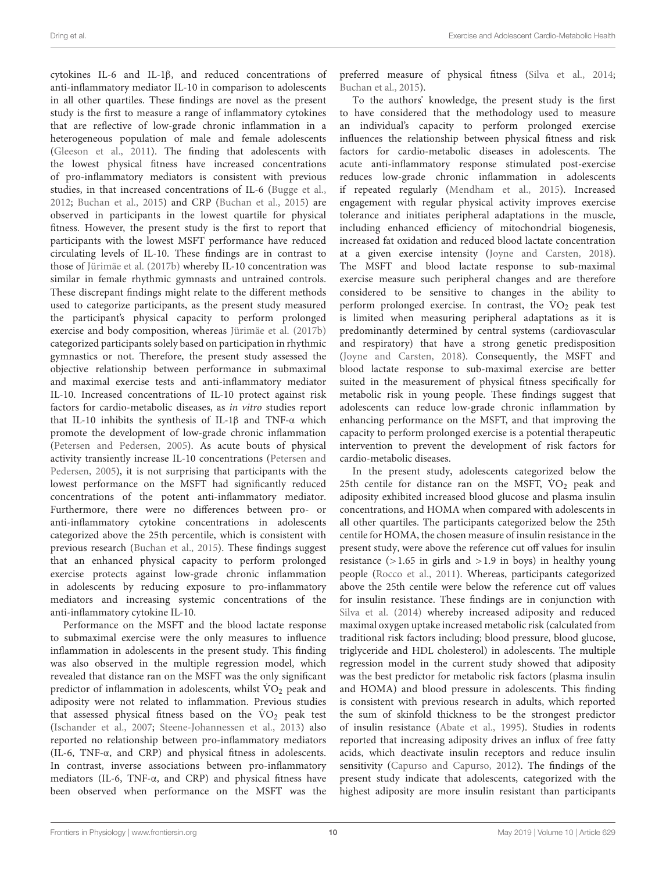cytokines IL-6 and IL-1β, and reduced concentrations of anti-inflammatory mediator IL-10 in comparison to adolescents in all other quartiles. These findings are novel as the present study is the first to measure a range of inflammatory cytokines that are reflective of low-grade chronic inflammation in a heterogeneous population of male and female adolescents [\(Gleeson et al.,](#page-11-2) [2011\)](#page-11-2). The finding that adolescents with the lowest physical fitness have increased concentrations of pro-inflammatory mediators is consistent with previous studies, in that increased concentrations of IL-6 [\(Bugge et al.,](#page-11-9) [2012;](#page-11-9) [Buchan et al.,](#page-11-10) [2015\)](#page-11-10) and CRP [\(Buchan et al.,](#page-11-10) [2015\)](#page-11-10) are observed in participants in the lowest quartile for physical fitness. However, the present study is the first to report that participants with the lowest MSFT performance have reduced circulating levels of IL-10. These findings are in contrast to those of [Jürimäe et al.](#page-11-13) [\(2017b\)](#page-11-13) whereby IL-10 concentration was similar in female rhythmic gymnasts and untrained controls. These discrepant findings might relate to the different methods used to categorize participants, as the present study measured the participant's physical capacity to perform prolonged exercise and body composition, whereas [Jürimäe et al.](#page-11-13) [\(2017b\)](#page-11-13) categorized participants solely based on participation in rhythmic gymnastics or not. Therefore, the present study assessed the objective relationship between performance in submaximal and maximal exercise tests and anti-inflammatory mediator IL-10. Increased concentrations of IL-10 protect against risk factors for cardio-metabolic diseases, as in vitro studies report that IL-10 inhibits the synthesis of IL-1β and TNF-α which promote the development of low-grade chronic inflammation [\(Petersen and Pedersen,](#page-11-1) [2005\)](#page-11-1). As acute bouts of physical activity transiently increase IL-10 concentrations [\(Petersen and](#page-11-1) [Pedersen,](#page-11-1) [2005\)](#page-11-1), it is not surprising that participants with the lowest performance on the MSFT had significantly reduced concentrations of the potent anti-inflammatory mediator. Furthermore, there were no differences between pro- or anti-inflammatory cytokine concentrations in adolescents categorized above the 25th percentile, which is consistent with previous research [\(Buchan et al.,](#page-11-10) [2015\)](#page-11-10). These findings suggest that an enhanced physical capacity to perform prolonged exercise protects against low-grade chronic inflammation in adolescents by reducing exposure to pro-inflammatory mediators and increasing systemic concentrations of the anti-inflammatory cytokine IL-10.

Performance on the MSFT and the blood lactate response to submaximal exercise were the only measures to influence inflammation in adolescents in the present study. This finding was also observed in the multiple regression model, which revealed that distance ran on the MSFT was the only significant predictor of inflammation in adolescents, whilst  $\rm \ddot{VO}_2$  peak and adiposity were not related to inflammation. Previous studies that assessed physical fitness based on the  $\rm \dot{VO}_2$  peak test [\(Ischander et al.,](#page-11-8) [2007;](#page-11-8) [Steene-Johannessen et al.,](#page-12-1) [2013\)](#page-12-1) also reported no relationship between pro-inflammatory mediators (IL-6, TNF-α, and CRP) and physical fitness in adolescents. In contrast, inverse associations between pro-inflammatory mediators (IL-6, TNF-α, and CRP) and physical fitness have been observed when performance on the MSFT was the preferred measure of physical fitness [\(Silva et al.,](#page-12-2) [2014;](#page-12-2) [Buchan et al.,](#page-11-10) [2015\)](#page-11-10).

To the authors' knowledge, the present study is the first to have considered that the methodology used to measure an individual's capacity to perform prolonged exercise influences the relationship between physical fitness and risk factors for cardio-metabolic diseases in adolescents. The acute anti-inflammatory response stimulated post-exercise reduces low-grade chronic inflammation in adolescents if repeated regularly [\(Mendham et al.,](#page-11-4) [2015\)](#page-11-4). Increased engagement with regular physical activity improves exercise tolerance and initiates peripheral adaptations in the muscle, including enhanced efficiency of mitochondrial biogenesis, increased fat oxidation and reduced blood lactate concentration at a given exercise intensity [\(Joyne and Carsten,](#page-11-27) [2018\)](#page-11-27). The MSFT and blood lactate response to sub-maximal exercise measure such peripheral changes and are therefore considered to be sensitive to changes in the ability to perform prolonged exercise. In contrast, the  $\rm \dot{V}O_2$  peak test is limited when measuring peripheral adaptations as it is predominantly determined by central systems (cardiovascular and respiratory) that have a strong genetic predisposition [\(Joyne and Carsten,](#page-11-27) [2018\)](#page-11-27). Consequently, the MSFT and blood lactate response to sub-maximal exercise are better suited in the measurement of physical fitness specifically for metabolic risk in young people. These findings suggest that adolescents can reduce low-grade chronic inflammation by enhancing performance on the MSFT, and that improving the capacity to perform prolonged exercise is a potential therapeutic intervention to prevent the development of risk factors for cardio-metabolic diseases.

In the present study, adolescents categorized below the 25th centile for distance ran on the MSFT,  $\rm \dot{V}O_2$  peak and adiposity exhibited increased blood glucose and plasma insulin concentrations, and HOMA when compared with adolescents in all other quartiles. The participants categorized below the 25th centile for HOMA, the chosen measure of insulin resistance in the present study, were above the reference cut off values for insulin resistance  $(>1.65$  in girls and  $>1.9$  in boys) in healthy young people [\(Rocco et al.,](#page-12-9) [2011\)](#page-12-9). Whereas, participants categorized above the 25th centile were below the reference cut off values for insulin resistance. These findings are in conjunction with [Silva et al.](#page-12-2) [\(2014\)](#page-12-2) whereby increased adiposity and reduced maximal oxygen uptake increased metabolic risk (calculated from traditional risk factors including; blood pressure, blood glucose, triglyceride and HDL cholesterol) in adolescents. The multiple regression model in the current study showed that adiposity was the best predictor for metabolic risk factors (plasma insulin and HOMA) and blood pressure in adolescents. This finding is consistent with previous research in adults, which reported the sum of skinfold thickness to be the strongest predictor of insulin resistance [\(Abate et al.,](#page-11-28) [1995\)](#page-11-28). Studies in rodents reported that increasing adiposity drives an influx of free fatty acids, which deactivate insulin receptors and reduce insulin sensitivity [\(Capurso and Capurso,](#page-11-29) [2012\)](#page-11-29). The findings of the present study indicate that adolescents, categorized with the highest adiposity are more insulin resistant than participants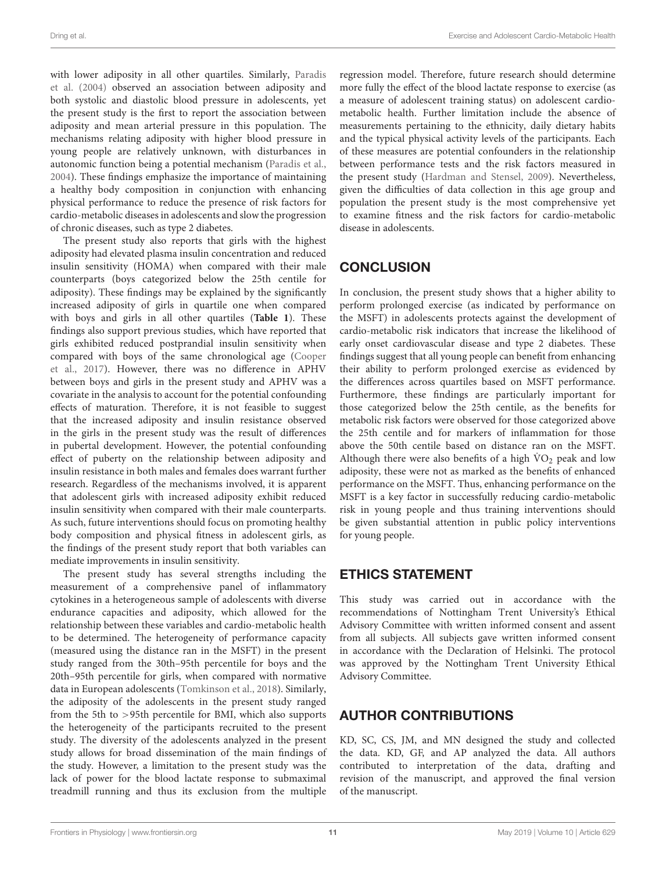with lower adiposity in all other quartiles. Similarly, [Paradis](#page-11-30) [et al.](#page-11-30) [\(2004\)](#page-11-30) observed an association between adiposity and both systolic and diastolic blood pressure in adolescents, yet the present study is the first to report the association between adiposity and mean arterial pressure in this population. The mechanisms relating adiposity with higher blood pressure in young people are relatively unknown, with disturbances in autonomic function being a potential mechanism [\(Paradis et al.,](#page-11-30) [2004\)](#page-11-30). These findings emphasize the importance of maintaining a healthy body composition in conjunction with enhancing physical performance to reduce the presence of risk factors for cardio-metabolic diseases in adolescents and slow the progression of chronic diseases, such as type 2 diabetes.

The present study also reports that girls with the highest adiposity had elevated plasma insulin concentration and reduced insulin sensitivity (HOMA) when compared with their male counterparts (boys categorized below the 25th centile for adiposity). These findings may be explained by the significantly increased adiposity of girls in quartile one when compared with boys and girls in all other quartiles (**[Table 1](#page-4-0)**). These findings also support previous studies, which have reported that girls exhibited reduced postprandial insulin sensitivity when compared with boys of the same chronological age [\(Cooper](#page-11-31) [et al.,](#page-11-31) [2017\)](#page-11-31). However, there was no difference in APHV between boys and girls in the present study and APHV was a covariate in the analysis to account for the potential confounding effects of maturation. Therefore, it is not feasible to suggest that the increased adiposity and insulin resistance observed in the girls in the present study was the result of differences in pubertal development. However, the potential confounding effect of puberty on the relationship between adiposity and insulin resistance in both males and females does warrant further research. Regardless of the mechanisms involved, it is apparent that adolescent girls with increased adiposity exhibit reduced insulin sensitivity when compared with their male counterparts. As such, future interventions should focus on promoting healthy body composition and physical fitness in adolescent girls, as the findings of the present study report that both variables can mediate improvements in insulin sensitivity.

The present study has several strengths including the measurement of a comprehensive panel of inflammatory cytokines in a heterogeneous sample of adolescents with diverse endurance capacities and adiposity, which allowed for the relationship between these variables and cardio-metabolic health to be determined. The heterogeneity of performance capacity (measured using the distance ran in the MSFT) in the present study ranged from the 30th–95th percentile for boys and the 20th–95th percentile for girls, when compared with normative data in European adolescents [\(Tomkinson et al.,](#page-12-10) [2018\)](#page-12-10). Similarly, the adiposity of the adolescents in the present study ranged from the 5th to >95th percentile for BMI, which also supports the heterogeneity of the participants recruited to the present study. The diversity of the adolescents analyzed in the present study allows for broad dissemination of the main findings of the study. However, a limitation to the present study was the lack of power for the blood lactate response to submaximal treadmill running and thus its exclusion from the multiple regression model. Therefore, future research should determine more fully the effect of the blood lactate response to exercise (as a measure of adolescent training status) on adolescent cardiometabolic health. Further limitation include the absence of measurements pertaining to the ethnicity, daily dietary habits and the typical physical activity levels of the participants. Each of these measures are potential confounders in the relationship between performance tests and the risk factors measured in the present study [\(Hardman and Stensel,](#page-11-32) [2009\)](#page-11-32). Nevertheless, given the difficulties of data collection in this age group and population the present study is the most comprehensive yet to examine fitness and the risk factors for cardio-metabolic disease in adolescents.

### **CONCLUSION**

In conclusion, the present study shows that a higher ability to perform prolonged exercise (as indicated by performance on the MSFT) in adolescents protects against the development of cardio-metabolic risk indicators that increase the likelihood of early onset cardiovascular disease and type 2 diabetes. These findings suggest that all young people can benefit from enhancing their ability to perform prolonged exercise as evidenced by the differences across quartiles based on MSFT performance. Furthermore, these findings are particularly important for those categorized below the 25th centile, as the benefits for metabolic risk factors were observed for those categorized above the 25th centile and for markers of inflammation for those above the 50th centile based on distance ran on the MSFT. Although there were also benefits of a high  $\rm \dot{VO}_2$  peak and low adiposity, these were not as marked as the benefits of enhanced performance on the MSFT. Thus, enhancing performance on the MSFT is a key factor in successfully reducing cardio-metabolic risk in young people and thus training interventions should be given substantial attention in public policy interventions for young people.

### ETHICS STATEMENT

This study was carried out in accordance with the recommendations of Nottingham Trent University's Ethical Advisory Committee with written informed consent and assent from all subjects. All subjects gave written informed consent in accordance with the Declaration of Helsinki. The protocol was approved by the Nottingham Trent University Ethical Advisory Committee.

### AUTHOR CONTRIBUTIONS

KD, SC, CS, JM, and MN designed the study and collected the data. KD, GF, and AP analyzed the data. All authors contributed to interpretation of the data, drafting and revision of the manuscript, and approved the final version of the manuscript.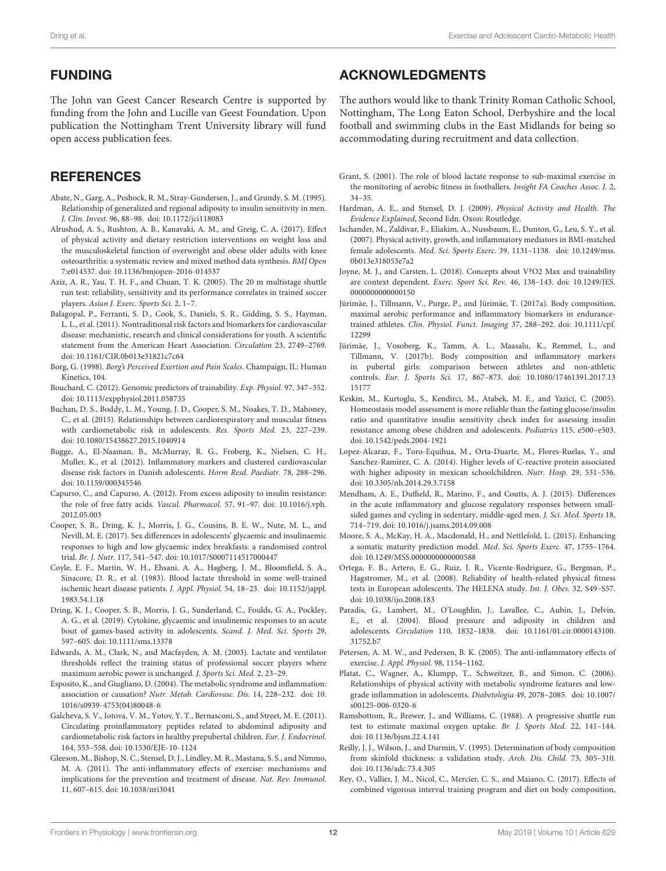### FUNDING

The John van Geest Cancer Research Centre is supported by funding from the John and Lucille van Geest Foundation. Upon publication the Nottingham Trent University library will fund open access publication fees.

### **REFERENCES**

- <span id="page-11-28"></span>Abate, N., Garg, A., Peshock, R. M., Stray-Gundersen, J., and Grundy, S. M. (1995). Relationship of generalized and regional adiposity to insulin sensitivity in men. J. Clin. Invest. 96, 88–98. [doi: 10.1172/jci118083](https://doi.org/10.1172/jci118083)
- <span id="page-11-6"></span>Alrushud, A. S., Rushton, A. B., Kanavaki, A. M., and Greig, C. A. (2017). Effect of physical activity and dietary restriction interventions on weight loss and the musculoskeletal function of overweight and obese older adults with knee osteoarthritis: a systematic review and mixed method data synthesis. BMJ Open 7:e014537. [doi: 10.1136/bmjopen-2016-014537](https://doi.org/10.1136/bmjopen-2016-014537)
- <span id="page-11-19"></span>Aziz, A. R., Yau, T. H. F., and Chuan, T. K. (2005). The 20 m multistage shuttle run test: reliability, sensitivity and its performance correlates in trained soccer players. Asian J. Exerc. Sports Sci. 2, 1–7.
- <span id="page-11-0"></span>Balagopal, P., Ferranti, S. D., Cook, S., Daniels, S. R., Gidding, S. S., Hayman, L. L., et al. (2011). Nontraditional risk factors and biomarkers for cardiovascular disease: mechanistic, research and clinical considerations for youth. A scientific statement from the American Heart Association. Circulation 23, 2749–2769. [doi: 10.1161/CIR.0b013e31821c7c64](https://doi.org/10.1161/CIR.0b013e31821c7c64)
- <span id="page-11-26"></span>Borg, G. (1998). Borg's Perceived Exertion and Pain Scales. Champaign, IL: Human Kinetics, 104.
- <span id="page-11-15"></span>Bouchard, C. (2012). Genomic predictors of trainability. Exp. Physiol. 97, 347–352. [doi: 10.1113/expphysiol.2011.058735](https://doi.org/10.1113/expphysiol.2011.058735)
- <span id="page-11-10"></span>Buchan, D. S., Boddy, L. M., Young, J. D., Cooper, S. M., Noakes, T. D., Mahoney, C., et al. (2015). Relationships between cardiorespiratory and muscular fitness with cardiometabolic risk in adolescents. Res. Sports Med. 23, 227–239. [doi: 10.1080/15438627.2015.1040914](https://doi.org/10.1080/15438627.2015.1040914)
- <span id="page-11-9"></span>Bugge, A., El-Naaman, B., McMurray, R. G., Froberg, K., Nielsen, C. H., Muller, K., et al. (2012). Inflammatory markers and clustered cardiovascular disease risk factors in Danish adolescents. Horm Resd. Paediatr. 78, 288–296. [doi: 10.1159/000345546](https://doi.org/10.1159/000345546)
- <span id="page-11-29"></span>Capurso, C., and Capurso, A. (2012). From excess adiposity to insulin resistance: the role of free fatty acids. Vascul. Pharmacol. 57, 91–97. [doi: 10.1016/j.vph.](https://doi.org/10.1016/j.vph.2012.05.003) [2012.05.003](https://doi.org/10.1016/j.vph.2012.05.003)
- <span id="page-11-31"></span>Cooper, S. B., Dring, K. J., Morris, J. G., Cousins, B. E. W., Nute, M. L., and Nevill, M. E. (2017). Sex differences in adolescents' glycaemic and insulinaemic responses to high and low glycaemic index breakfasts: a randomised control trial. Br. J. Nutr. 117, 541–547. [doi: 10.1017/S0007114517000447](https://doi.org/10.1017/S0007114517000447)
- <span id="page-11-14"></span>Coyle, E. F., Martin, W. H., Ehsani, A. A., Hagberg, J. M., Bloomfield, S. A., Sinacore, D. R., et al. (1983). Blood lactate threshold in some well-trained ischemic heart disease patients. J. Appl. Physiol. 54, 18–23. [doi: 10.1152/jappl.](https://doi.org/10.1152/jappl.1983.54.1.18) [1983.54.1.18](https://doi.org/10.1152/jappl.1983.54.1.18)
- <span id="page-11-3"></span>Dring, K. J., Cooper, S. B., Morris, J. G., Sunderland, C., Foulds, G. A., Pockley, A. G., et al. (2019). Cytokine, glycaemic and insulinemic responses to an acute bout of games-based activity in adolescents. Scand. J. Med. Sci. Sports 29, 597–605. [doi: 10.1111/sms.13378](https://doi.org/10.1111/sms.13378)
- <span id="page-11-16"></span>Edwards, A. M., Clark, N., and Macfayden, A. M. (2003). Lactate and ventilator thresholds reflect the training status of professional soccer players where maximum aerobic power is unchanged. J. Sports Sci. Med. 2, 23–29.
- <span id="page-11-11"></span>Esposito, K., and Giugliano, D. (2004). The metabolic syndrome and inflammation: association or causation? Nutr. Metab. Cardiovasc. Dis. 14, 228–232. [doi: 10.](https://doi.org/10.1016/s0939-4753(04)80048-6) [1016/s0939-4753\(04\)80048-6](https://doi.org/10.1016/s0939-4753(04)80048-6)
- <span id="page-11-20"></span>Galcheva, S. V., Iotova, V. M., Yotov, Y. T., Bernasconi, S., and Street, M. E. (2011). Circulating proinflammatory peptides related to abdominal adiposity and cardiometabolic risk factors in healthy prepubertal children. Eur. J. Endocrinol. 164, 553–558. [doi: 10.1530/EJE-10-1124](https://doi.org/10.1530/EJE-10-1124)
- <span id="page-11-2"></span>Gleeson, M., Bishop, N. C., Stensel, D. J., Lindley, M. R., Mastana, S. S., and Nimmo, M. A. (2011). The anti-inflammatory effects of exercise: mechanisms and implications for the prevention and treatment of disease. Nat. Rev. Immunol. 11, 607–615. [doi: 10.1038/nri3041](https://doi.org/10.1038/nri3041)

### ACKNOWLEDGMENTS

The authors would like to thank Trinity Roman Catholic School, Nottingham, The Long Eaton School, Derbyshire and the local football and swimming clubs in the East Midlands for being so accommodating during recruitment and data collection.

- <span id="page-11-17"></span>Grant, S. (2001). The role of blood lactate response to sub-maximal exercise in the monitoring of aerobic fitness in footballers. Insight FA Coaches Assoc. J. 2, 34–35.
- <span id="page-11-32"></span>Hardman, A. E., and Stensel, D. J. (2009). Physical Activity and Health. The Evidence Explained, Second Edn. Oxon: Routledge.
- <span id="page-11-8"></span>Ischander, M., Zaldivar, F., Eliakim, A., Nussbaum, E., Dunton, G., Leu, S. Y., et al. (2007). Physical activity, growth, and inflammatory mediators in BMI-matched female adolescents. Med. Sci. Sports Exerc. 39, 1131–1138. [doi: 10.1249/mss.](https://doi.org/10.1249/mss.0b013e318053e7a2) [0b013e318053e7a2](https://doi.org/10.1249/mss.0b013e318053e7a2)
- <span id="page-11-27"></span>Joyne, M. J., and Carsten, L. (2018). Concepts about V?O2 Max and trainability are context dependent. Exerc. Sport Sci. Rev. 46, 138–143. [doi: 10.1249/JES.](https://doi.org/10.1249/JES.0000000000000150) [0000000000000150](https://doi.org/10.1249/JES.0000000000000150)
- <span id="page-11-12"></span>Jürimäe, J., Tillmann, V., Purge, P., and Jürimäe, T. (2017a). Body composition, maximal aerobic performance and inflammatory biomarkers in endurancetrained athletes. Clin. Physiol. Funct. Imaging 37, 288–292. [doi: 10.1111/cpf.](https://doi.org/10.1111/cpf.12299) [12299](https://doi.org/10.1111/cpf.12299)
- <span id="page-11-13"></span>Jürimäe, J., Vosoberg, K., Tamm, A. L., Maasalu, K., Remmel, L., and Tillmann, V. (2017b). Body composition and inflammatory markers in pubertal girls: comparison between athletes and non-athletic controls. Eur. J. Sports Sci. 17, 867–873. [doi: 10.1080/17461391.2017.13](https://doi.org/10.1080/17461391.2017.1315177) [15177](https://doi.org/10.1080/17461391.2017.1315177)
- <span id="page-11-25"></span>Keskin, M., Kurtoglu, S., Kendirci, M., Atabek, M. E., and Yazici, C. (2005). Homeostasis model assessment is more reliable than the fasting glucose/insulin ratio and quantitative insulin sensitivity check index for assessing insulin resistance among obese children and adolescents. Pediatrics 115, e500–e503. [doi: 10.1542/peds.2004-1921](https://doi.org/10.1542/peds.2004-1921)
- <span id="page-11-21"></span>Lopez-Alcaraz, F., Toro-Equihua, M., Orta-Duarte, M., Flores-Ruelas, Y., and Sanchez-Ramirez, C. A. (2014). Higher levels of C-reactive protein associated with higher adiposity in mexican schoolchildren. Nutr. Hosp. 29, 531–536. [doi: 10.3305/nh.2014.29.3.7158](https://doi.org/10.3305/nh.2014.29.3.7158)
- <span id="page-11-4"></span>Mendham, A. E., Duffield, R., Marino, F., and Coutts, A. J. (2015). Differences in the acute inflammatory and glucose regulatory responses between smallsided games and cycling in sedentary, middle-aged men. J. Sci. Med. Sports 18, 714–719. [doi: 10.1016/j.jsams.2014.09.008](https://doi.org/10.1016/j.jsams.2014.09.008)
- <span id="page-11-22"></span>Moore, S. A., McKay, H. A., Macdonald, H., and Nettlefold, L. (2015). Enhancing a somatic maturity prediction model. Med. Sci. Sports Exerc. 47, 1755–1764. [doi: 10.1249/MSS.0000000000000588](https://doi.org/10.1249/MSS.0000000000000588)
- <span id="page-11-18"></span>Ortega, F. B., Artero, E. G., Ruiz, J. R., Vicente-Rodriguez, G., Bergman, P., Hagstromer, M., et al. (2008). Reliability of health-related physical fitness tests in European adolescents. The HELENA study. Int. J. Obes. 32, S49–S57. [doi: 10.1038/ijo.2008.183](https://doi.org/10.1038/ijo.2008.183)
- <span id="page-11-30"></span>Paradis, G., Lambert, M., O'Loughlin, J., Lavallee, C., Aubin, J., Delvin, E., et al. (2004). Blood pressure and adiposity in children and adolescents. Circulation 110, 1832–1838. [doi: 10.1161/01.cir.0000143100.](https://doi.org/10.1161/01.cir.0000143100.31752.b7) [31752.b7](https://doi.org/10.1161/01.cir.0000143100.31752.b7)
- <span id="page-11-1"></span>Petersen, A. M. W., and Pedersen, B. K. (2005). The anti-inflammatory effects of exercise. J. Appl. Physiol. 98, 1154–1162.
- <span id="page-11-7"></span>Platat, C., Wagner, A., Klumpp, T., Schweitzer, B., and Simon, C. (2006). Relationships of physical activity with metabolic syndrome features and lowgrade inflammation in adolescents. Diabetologia 49, 2078–2085. [doi: 10.1007/](https://doi.org/10.1007/s00125-006-0320-6) [s00125-006-0320-6](https://doi.org/10.1007/s00125-006-0320-6)
- <span id="page-11-24"></span>Ramsbottom, R., Brewer, J., and Williams, C. (1988). A progressive shuttle run test to estimate maximal oxygen uptake. Br. J. Sports Med. 22, 141–144. [doi: 10.1136/bjsm.22.4.141](https://doi.org/10.1136/bjsm.22.4.141)
- <span id="page-11-23"></span>Reilly, J. J., Wilson, J., and Durmin, V. (1995). Determination of body composition from skinfold thickness: a validation study. Arch. Dis. Child. 73, 305–310. [doi: 10.1136/adc.73.4.305](https://doi.org/10.1136/adc.73.4.305)
- <span id="page-11-5"></span>Rey, O., Vallier, J. M., Nicol, C., Mercier, C. S., and Maiano, C. (2017). Effects of combined vigorous interval training program and diet on body composition,